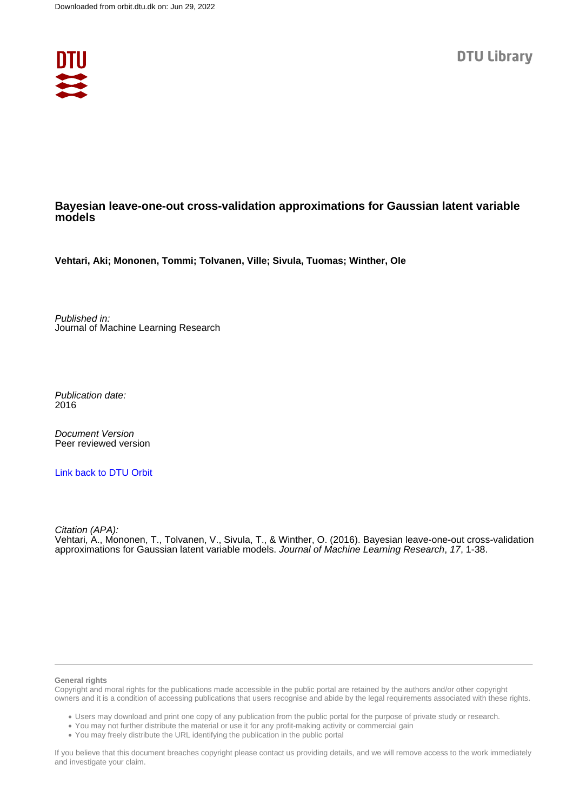

# **Bayesian leave-one-out cross-validation approximations for Gaussian latent variable models**

**Vehtari, Aki; Mononen, Tommi; Tolvanen, Ville; Sivula, Tuomas; Winther, Ole**

Published in: Journal of Machine Learning Research

Publication date: 2016

Document Version Peer reviewed version

[Link back to DTU Orbit](https://orbit.dtu.dk/en/publications/40b92833-33e4-4423-bc42-1ea55f259546)

Citation (APA): Vehtari, A., Mononen, T., Tolvanen, V., Sivula, T., & Winther, O. (2016). Bayesian leave-one-out cross-validation approximations for Gaussian latent variable models. Journal of Machine Learning Research, 17, 1-38.

#### **General rights**

Copyright and moral rights for the publications made accessible in the public portal are retained by the authors and/or other copyright owners and it is a condition of accessing publications that users recognise and abide by the legal requirements associated with these rights.

Users may download and print one copy of any publication from the public portal for the purpose of private study or research.

- You may not further distribute the material or use it for any profit-making activity or commercial gain
- You may freely distribute the URL identifying the publication in the public portal

If you believe that this document breaches copyright please contact us providing details, and we will remove access to the work immediately and investigate your claim.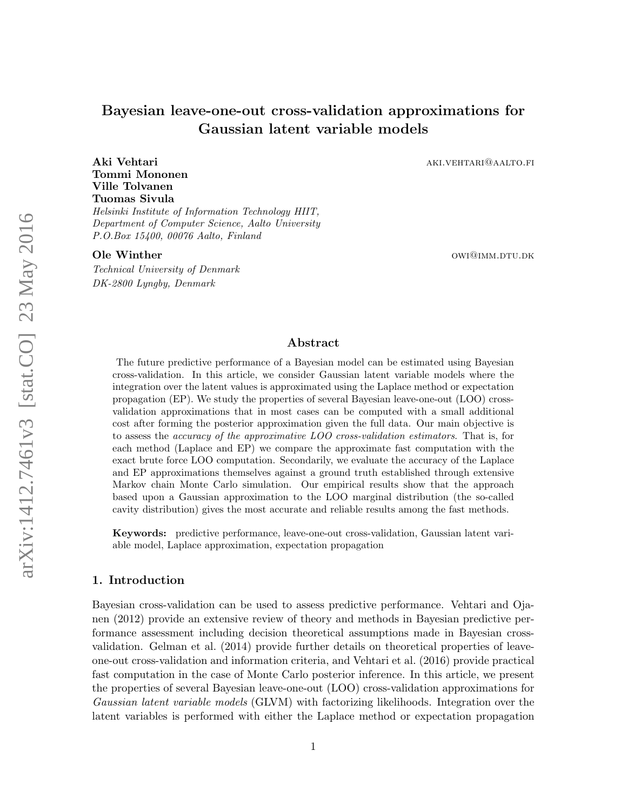# Bayesian leave-one-out cross-validation approximations for Gaussian latent variable models

Aki Vehtari aki.vehtari aki.vehtari aki.vehtari aki.vehtari aki.vehtari aki.vehtari aki.vehtari aki.

Tommi Mononen Ville Tolvanen Tuomas Sivula Helsinki Institute of Information Technology HIIT, Department of Computer Science, Aalto University

Technical University of Denmark DK-2800 Lyngby, Denmark

P.O.Box 15400, 00076 Aalto, Finland

**Ole Winther Community Community Community Community Community Community Community Community Community Community Community Community Community Community Community Community Community Community Community Community Community** 

# Abstract

The future predictive performance of a Bayesian model can be estimated using Bayesian cross-validation. In this article, we consider Gaussian latent variable models where the integration over the latent values is approximated using the Laplace method or expectation propagation (EP). We study the properties of several Bayesian leave-one-out (LOO) crossvalidation approximations that in most cases can be computed with a small additional cost after forming the posterior approximation given the full data. Our main objective is to assess the *accuracy of the approximative LOO cross-validation estimators*. That is, for each method (Laplace and EP) we compare the approximate fast computation with the exact brute force LOO computation. Secondarily, we evaluate the accuracy of the Laplace and EP approximations themselves against a ground truth established through extensive Markov chain Monte Carlo simulation. Our empirical results show that the approach based upon a Gaussian approximation to the LOO marginal distribution (the so-called cavity distribution) gives the most accurate and reliable results among the fast methods.

Keywords: predictive performance, leave-one-out cross-validation, Gaussian latent variable model, Laplace approximation, expectation propagation

# 1. Introduction

Bayesian cross-validation can be used to assess predictive performance. [Vehtari and Oja](#page-37-0)[nen](#page-37-0) [\(2012\)](#page-37-0) provide an extensive review of theory and methods in Bayesian predictive performance assessment including decision theoretical assumptions made in Bayesian crossvalidation. [Gelman et al.](#page-34-0) [\(2014\)](#page-34-0) provide further details on theoretical properties of leaveone-out cross-validation and information criteria, and [Vehtari et al.](#page-38-0) [\(2016\)](#page-38-0) provide practical fast computation in the case of Monte Carlo posterior inference. In this article, we present the properties of several Bayesian leave-one-out (LOO) cross-validation approximations for Gaussian latent variable models (GLVM) with factorizing likelihoods. Integration over the latent variables is performed with either the Laplace method or expectation propagation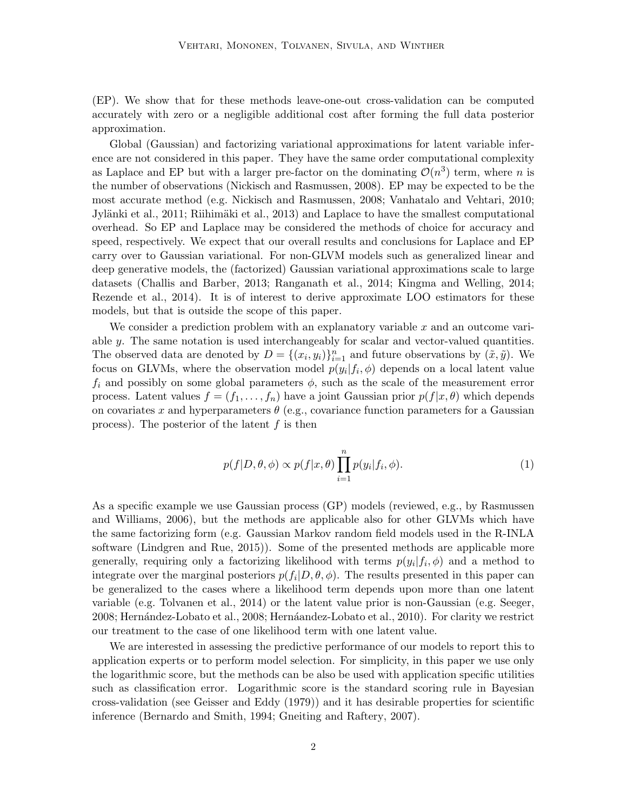(EP). We show that for these methods leave-one-out cross-validation can be computed accurately with zero or a negligible additional cost after forming the full data posterior approximation.

Global (Gaussian) and factorizing variational approximations for latent variable inference are not considered in this paper. They have the same order computational complexity as Laplace and EP but with a larger pre-factor on the dominating  $\mathcal{O}(n^3)$  term, where n is the number of observations [\(Nickisch and Rasmussen,](#page-36-0) [2008\)](#page-36-0). EP may be expected to be the most accurate method (e.g. [Nickisch and Rasmussen,](#page-36-0) [2008;](#page-36-0) [Vanhatalo and Vehtari,](#page-37-1) [2010;](#page-37-1) Jylänki et al., [2011;](#page-35-0) Riihimäki et al., [2013\)](#page-36-1) and Laplace to have the smallest computational overhead. So EP and Laplace may be considered the methods of choice for accuracy and speed, respectively. We expect that our overall results and conclusions for Laplace and EP carry over to Gaussian variational. For non-GLVM models such as generalized linear and deep generative models, the (factorized) Gaussian variational approximations scale to large datasets [\(Challis and Barber,](#page-34-1) [2013;](#page-34-1) [Ranganath et al.,](#page-36-2) [2014;](#page-36-2) [Kingma and Welling,](#page-35-1) [2014;](#page-35-1) [Rezende et al.,](#page-36-3) [2014\)](#page-36-3). It is of interest to derive approximate LOO estimators for these models, but that is outside the scope of this paper.

We consider a prediction problem with an explanatory variable  $x$  and an outcome variable y. The same notation is used interchangeably for scalar and vector-valued quantities. The observed data are denoted by  $D = \{(x_i, y_i)\}_{i=1}^n$  and future observations by  $(\tilde{x}, \tilde{y})$ . We focus on GLVMs, where the observation model  $p(y_i|f_i, \phi)$  depends on a local latent value  $f_i$  and possibly on some global parameters  $\phi$ , such as the scale of the measurement error process. Latent values  $f = (f_1, \ldots, f_n)$  have a joint Gaussian prior  $p(f|x, \theta)$  which depends on covariates x and hyperparameters  $\theta$  (e.g., covariance function parameters for a Gaussian process). The posterior of the latent  $f$  is then

$$
p(f|D,\theta,\phi) \propto p(f|x,\theta) \prod_{i=1}^{n} p(y_i|f_i,\phi).
$$
 (1)

As a specific example we use Gaussian process (GP) models (reviewed, e.g., by [Rasmussen](#page-36-4) [and Williams,](#page-36-4) [2006\)](#page-36-4), but the methods are applicable also for other GLVMs which have the same factorizing form (e.g. Gaussian Markov random field models used in the R-INLA software [\(Lindgren and Rue,](#page-35-2) [2015\)](#page-35-2)). Some of the presented methods are applicable more generally, requiring only a factorizing likelihood with terms  $p(y_i|f_i, \phi)$  and a method to integrate over the marginal posteriors  $p(f_i|D, \theta, \phi)$ . The results presented in this paper can be generalized to the cases where a likelihood term depends upon more than one latent variable (e.g. [Tolvanen et al.,](#page-37-2) [2014\)](#page-37-2) or the latent value prior is non-Gaussian (e.g. [Seeger,](#page-37-3) [2008;](#page-35-3) Hernández-Lobato et al., 2008; Hernáandez-Lobato et al., [2010\)](#page-35-4). For clarity we restrict our treatment to the case of one likelihood term with one latent value.

We are interested in assessing the predictive performance of our models to report this to application experts or to perform model selection. For simplicity, in this paper we use only the logarithmic score, but the methods can be also be used with application specific utilities such as classification error. Logarithmic score is the standard scoring rule in Bayesian cross-validation (see [Geisser and Eddy](#page-34-2) [\(1979\)](#page-34-2)) and it has desirable properties for scientific inference [\(Bernardo and Smith,](#page-34-3) [1994;](#page-34-3) [Gneiting and Raftery,](#page-34-4) [2007\)](#page-34-4).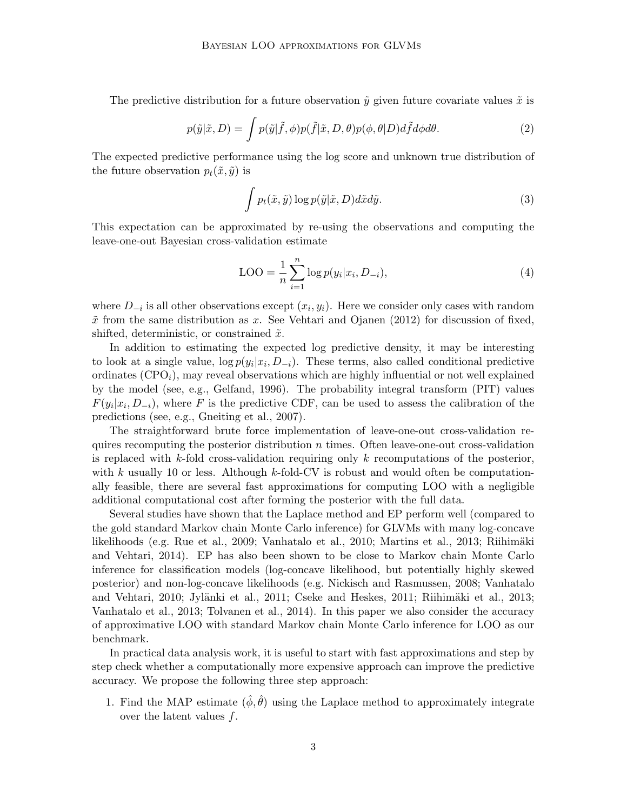The predictive distribution for a future observation  $\tilde{y}$  given future covariate values  $\tilde{x}$  is

$$
p(\tilde{y}|\tilde{x}, D) = \int p(\tilde{y}|\tilde{f}, \phi) p(\tilde{f}|\tilde{x}, D, \theta) p(\phi, \theta|D) d\tilde{f} d\phi d\theta.
$$
 (2)

The expected predictive performance using the log score and unknown true distribution of the future observation  $p_t(\tilde{x}, \tilde{y})$  is

$$
\int p_t(\tilde{x}, \tilde{y}) \log p(\tilde{y}|\tilde{x}, D) d\tilde{x} d\tilde{y}.
$$
\n(3)

This expectation can be approximated by re-using the observations and computing the leave-one-out Bayesian cross-validation estimate

$$
LOO = \frac{1}{n} \sum_{i=1}^{n} \log p(y_i | x_i, D_{-i}),
$$
\n(4)

where  $D_{-i}$  is all other observations except  $(x_i, y_i)$ . Here we consider only cases with random  $\tilde{x}$  from the same distribution as x. See [Vehtari and Ojanen](#page-37-0) [\(2012\)](#page-37-0) for discussion of fixed, shifted, deterministic, or constrained  $\tilde{x}$ .

In addition to estimating the expected log predictive density, it may be interesting to look at a single value,  $\log p(y_i|x_i, D_{-i})$ . These terms, also called conditional predictive ordinates  $(CPO<sub>i</sub>)$ , may reveal observations which are highly influential or not well explained by the model (see, e.g., [Gelfand,](#page-34-5) [1996\)](#page-34-5). The probability integral transform (PIT) values  $F(y_i|x_i, D_{-i})$ , where F is the predictive CDF, can be used to assess the calibration of the predictions (see, e.g., [Gneiting et al.,](#page-35-5) [2007\)](#page-35-5).

The straightforward brute force implementation of leave-one-out cross-validation requires recomputing the posterior distribution  $n$  times. Often leave-one-out cross-validation is replaced with k-fold cross-validation requiring only k recomputations of the posterior, with k usually 10 or less. Although k-fold-CV is robust and would often be computationally feasible, there are several fast approximations for computing LOO with a negligible additional computational cost after forming the posterior with the full data.

Several studies have shown that the Laplace method and EP perform well (compared to the gold standard Markov chain Monte Carlo inference) for GLVMs with many log-concave likelihoods (e.g. [Rue et al.,](#page-36-5) [2009;](#page-36-5) [Vanhatalo et al.,](#page-37-4) [2010;](#page-37-4) [Martins et al.,](#page-35-6) [2013;](#page-35-6) Riihimäki [and Vehtari,](#page-36-6) [2014\)](#page-36-6). EP has also been shown to be close to Markov chain Monte Carlo inference for classification models (log-concave likelihood, but potentially highly skewed posterior) and non-log-concave likelihoods (e.g. [Nickisch and Rasmussen,](#page-36-0) [2008;](#page-36-0) [Vanhatalo](#page-37-1) [and Vehtari,](#page-37-1) [2010;](#page-37-1) Jylänki et al., [2011;](#page-34-6) [Cseke and Heskes,](#page-34-6) 2011; Riihimäki et al., [2013;](#page-36-1) [Vanhatalo et al.,](#page-37-5) [2013;](#page-37-5) [Tolvanen et al.,](#page-37-2) [2014\)](#page-37-2). In this paper we also consider the accuracy of approximative LOO with standard Markov chain Monte Carlo inference for LOO as our benchmark.

In practical data analysis work, it is useful to start with fast approximations and step by step check whether a computationally more expensive approach can improve the predictive accuracy. We propose the following three step approach:

1. Find the MAP estimate  $(\hat{\phi}, \hat{\theta})$  using the Laplace method to approximately integrate over the latent values f.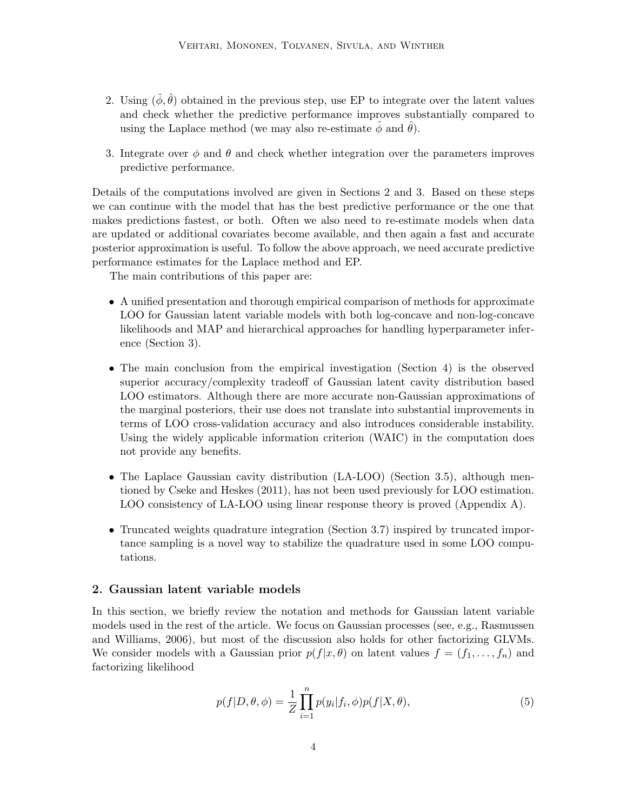- 2. Using  $(\hat{\phi}, \hat{\theta})$  obtained in the previous step, use EP to integrate over the latent values and check whether the predictive performance improves substantially compared to using the Laplace method (we may also re-estimate  $\phi$  and  $\theta$ ).
- 3. Integrate over  $\phi$  and  $\theta$  and check whether integration over the parameters improves predictive performance.

Details of the computations involved are given in Sections [2](#page-4-0) and [3.](#page-9-0) Based on these steps we can continue with the model that has the best predictive performance or the one that makes predictions fastest, or both. Often we also need to re-estimate models when data are updated or additional covariates become available, and then again a fast and accurate posterior approximation is useful. To follow the above approach, we need accurate predictive performance estimates for the Laplace method and EP.

The main contributions of this paper are:

- A unified presentation and thorough empirical comparison of methods for approximate LOO for Gaussian latent variable models with both log-concave and non-log-concave likelihoods and MAP and hierarchical approaches for handling hyperparameter inference (Section [3\)](#page-9-0).
- The main conclusion from the empirical investigation (Section [4\)](#page-20-0) is the observed superior accuracy/complexity tradeoff of Gaussian latent cavity distribution based LOO estimators. Although there are more accurate non-Gaussian approximations of the marginal posteriors, their use does not translate into substantial improvements in terms of LOO cross-validation accuracy and also introduces considerable instability. Using the widely applicable information criterion (WAIC) in the computation does not provide any benefits.
- The Laplace Gaussian cavity distribution (LA-LOO) (Section [3.5\)](#page-12-0), although mentioned by [Cseke and Heskes](#page-34-6) [\(2011\)](#page-34-6), has not been used previously for LOO estimation. LOO consistency of LA-LOO using linear response theory is proved (Appendix [A\)](#page-29-0).
- Truncated weights quadrature integration (Section [3.7\)](#page-15-0) inspired by truncated importance sampling is a novel way to stabilize the quadrature used in some LOO computations.

# <span id="page-4-0"></span>2. Gaussian latent variable models

In this section, we briefly review the notation and methods for Gaussian latent variable models used in the rest of the article. We focus on Gaussian processes (see, e.g., [Rasmussen](#page-36-4) [and Williams,](#page-36-4) [2006\)](#page-36-4), but most of the discussion also holds for other factorizing GLVMs. We consider models with a Gaussian prior  $p(f|x, \theta)$  on latent values  $f = (f_1, \ldots, f_n)$  and factorizing likelihood

$$
p(f|D, \theta, \phi) = \frac{1}{Z} \prod_{i=1}^{n} p(y_i|f_i, \phi) p(f|X, \theta),
$$
\n(5)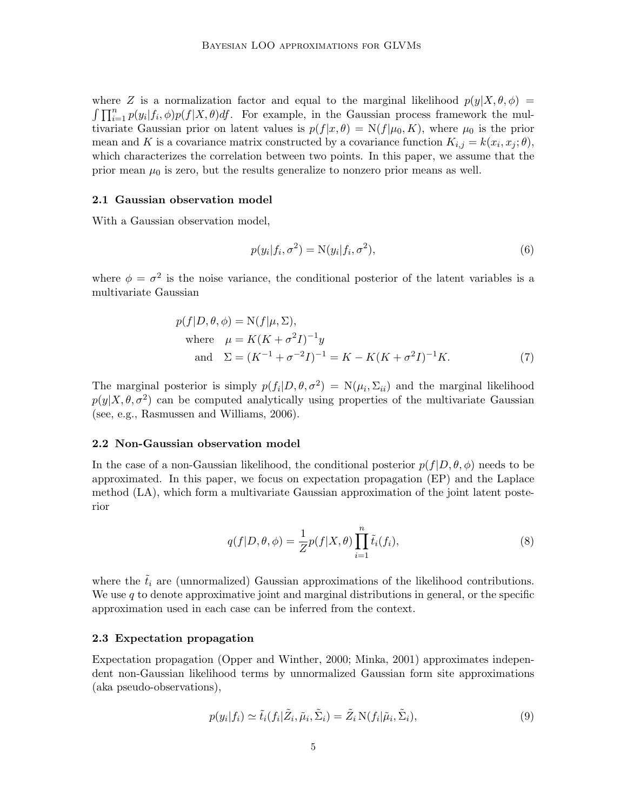where Z is a normalization factor and equal to the marginal likelihood  $p(y|X, \theta, \phi)$  =  $\int \prod_{i=1}^n p(y_i|f_i,\phi)p(f|X,\theta)df$ . For example, in the Gaussian process framework the multivariate Gaussian prior on latent values is  $p(f|x, \theta) = N(f|\mu_0, K)$ , where  $\mu_0$  is the prior mean and K is a covariance matrix constructed by a covariance function  $K_{i,j} = k(x_i, x_j; \theta)$ , which characterizes the correlation between two points. In this paper, we assume that the prior mean  $\mu_0$  is zero, but the results generalize to nonzero prior means as well.

#### 2.1 Gaussian observation model

With a Gaussian observation model,

$$
p(y_i|f_i, \sigma^2) = \mathcal{N}(y_i|f_i, \sigma^2),\tag{6}
$$

where  $\phi = \sigma^2$  is the noise variance, the conditional posterior of the latent variables is a multivariate Gaussian

$$
p(f|D, \theta, \phi) = N(f|\mu, \Sigma),
$$
  
where  $\mu = K(K + \sigma^2 I)^{-1}y$   
and  $\Sigma = (K^{-1} + \sigma^{-2}I)^{-1} = K - K(K + \sigma^2 I)^{-1}K.$  (7)

The marginal posterior is simply  $p(f_i|D,\theta,\sigma^2) = N(\mu_i,\Sigma_{ii})$  and the marginal likelihood  $p(y|X, \theta, \sigma^2)$  can be computed analytically using properties of the multivariate Gaussian (see, e.g., [Rasmussen and Williams,](#page-36-4) [2006\)](#page-36-4).

# 2.2 Non-Gaussian observation model

In the case of a non-Gaussian likelihood, the conditional posterior  $p(f|D, \theta, \phi)$  needs to be approximated. In this paper, we focus on expectation propagation (EP) and the Laplace method (LA), which form a multivariate Gaussian approximation of the joint latent posterior

<span id="page-5-0"></span>
$$
q(f|D,\theta,\phi) = \frac{1}{Z}p(f|X,\theta)\prod_{i=1}^{n}\tilde{t}_i(f_i),
$$
\n(8)

where the  $\tilde{t}_i$  are (unnormalized) Gaussian approximations of the likelihood contributions. We use  $q$  to denote approximative joint and marginal distributions in general, or the specific approximation used in each case can be inferred from the context.

#### 2.3 Expectation propagation

Expectation propagation [\(Opper and Winther,](#page-36-7) [2000;](#page-36-7) [Minka,](#page-35-7) [2001\)](#page-35-7) approximates independent non-Gaussian likelihood terms by unnormalized Gaussian form site approximations (aka pseudo-observations),

$$
p(y_i|f_i) \simeq \tilde{t}_i(f_i|\tilde{Z}_i, \tilde{\mu}_i, \tilde{\Sigma}_i) = \tilde{Z}_i \operatorname{N}(f_i|\tilde{\mu}_i, \tilde{\Sigma}_i),
$$
\n(9)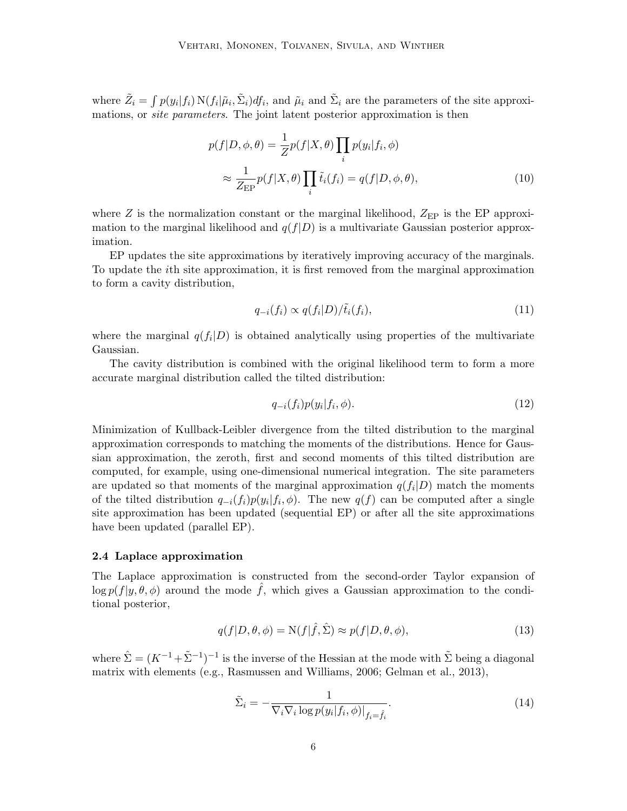where  $\tilde{Z}_i = \int p(y_i|f_i) N(f_i|\tilde{\mu}_i, \tilde{\Sigma}_i) df_i$ , and  $\tilde{\mu}_i$  and  $\tilde{\Sigma}_i$  are the parameters of the site approximations, or *site parameters*. The joint latent posterior approximation is then

$$
p(f|D, \phi, \theta) = \frac{1}{Z} p(f|X, \theta) \prod_{i} p(y_i|f_i, \phi)
$$

$$
\approx \frac{1}{Z_{\rm EP}} p(f|X, \theta) \prod_{i} \tilde{t}_i(f_i) = q(f|D, \phi, \theta), \tag{10}
$$

where  $Z$  is the normalization constant or the marginal likelihood,  $Z_{\rm EP}$  is the EP approximation to the marginal likelihood and  $q(f|D)$  is a multivariate Gaussian posterior approximation.

EP updates the site approximations by iteratively improving accuracy of the marginals. To update the ith site approximation, it is first removed from the marginal approximation to form a cavity distribution,

<span id="page-6-1"></span>
$$
q_{-i}(f_i) \propto q(f_i|D)/\tilde{t}_i(f_i),\tag{11}
$$

where the marginal  $q(f_i|D)$  is obtained analytically using properties of the multivariate Gaussian.

The cavity distribution is combined with the original likelihood term to form a more accurate marginal distribution called the tilted distribution:

$$
q_{-i}(f_i)p(y_i|f_i,\phi). \tag{12}
$$

Minimization of Kullback-Leibler divergence from the tilted distribution to the marginal approximation corresponds to matching the moments of the distributions. Hence for Gaussian approximation, the zeroth, first and second moments of this tilted distribution are computed, for example, using one-dimensional numerical integration. The site parameters are updated so that moments of the marginal approximation  $q(f_i|D)$  match the moments of the tilted distribution  $q_{-i}(f_i)p(y_i|f_i, \phi)$ . The new  $q(f)$  can be computed after a single site approximation has been updated (sequential EP) or after all the site approximations have been updated (parallel EP).

#### <span id="page-6-0"></span>2.4 Laplace approximation

The Laplace approximation is constructed from the second-order Taylor expansion of  $\log p(f|y, \theta, \phi)$  around the mode  $\hat{f}$ , which gives a Gaussian approximation to the conditional posterior,

$$
q(f|D,\theta,\phi) = \mathcal{N}(f|\hat{f},\hat{\Sigma}) \approx p(f|D,\theta,\phi),\tag{13}
$$

where  $\hat{\Sigma} = (K^{-1} + \tilde{\Sigma}^{-1})^{-1}$  is the inverse of the Hessian at the mode with  $\tilde{\Sigma}$  being a diagonal matrix with elements (e.g., [Rasmussen and Williams,](#page-36-4) [2006;](#page-36-4) [Gelman et al.,](#page-34-7) [2013\)](#page-34-7),

<span id="page-6-2"></span>
$$
\tilde{\Sigma}_i = -\frac{1}{\nabla_i \nabla_i \log p(y_i | f_i, \phi)|_{f_i = \hat{f}_i}}.
$$
\n(14)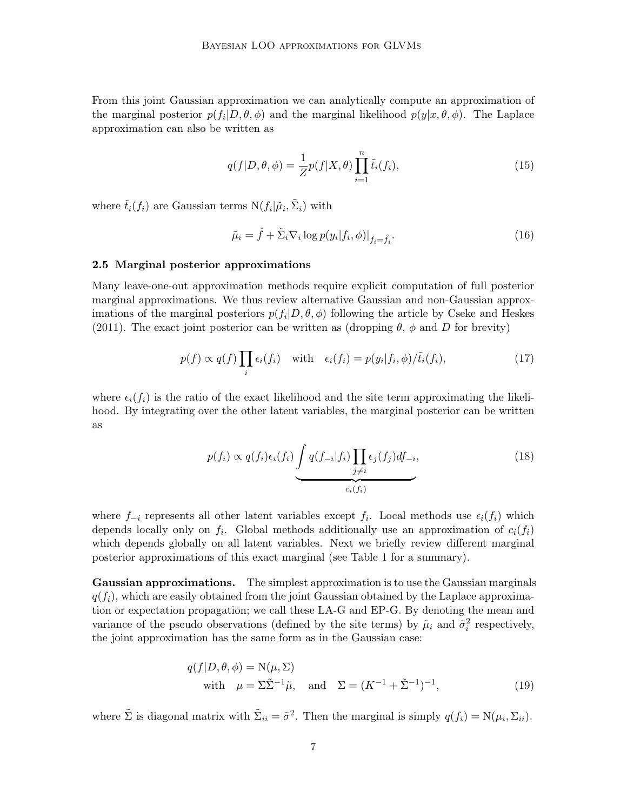From this joint Gaussian approximation we can analytically compute an approximation of the marginal posterior  $p(f_i|D, \theta, \phi)$  and the marginal likelihood  $p(y|x, \theta, \phi)$ . The Laplace approximation can also be written as

$$
q(f|D,\theta,\phi) = \frac{1}{Z}p(f|X,\theta)\prod_{i=1}^{n}\tilde{t}_i(f_i),
$$
\n(15)

where  $\tilde{t}_i(f_i)$  are Gaussian terms  $N(f_i|\tilde{\mu}_i, \tilde{\Sigma}_i)$  with

$$
\tilde{\mu}_i = \hat{f} + \tilde{\Sigma}_i \nabla_i \log p(y_i | f_i, \phi)|_{f_i = \hat{f}_i}.
$$
\n(16)

#### <span id="page-7-1"></span>2.5 Marginal posterior approximations

Many leave-one-out approximation methods require explicit computation of full posterior marginal approximations. We thus review alternative Gaussian and non-Gaussian approximations of the marginal posteriors  $p(f_i|D, \theta, \phi)$  following the article by [Cseke and Heskes](#page-34-6) [\(2011\)](#page-34-6). The exact joint posterior can be written as (dropping  $\theta$ ,  $\phi$  and D for brevity)

$$
p(f) \propto q(f) \prod_{i} \epsilon_i(f_i) \quad \text{with} \quad \epsilon_i(f_i) = p(y_i | f_i, \phi) / \tilde{t}_i(f_i), \tag{17}
$$

where  $\epsilon_i(f_i)$  is the ratio of the exact likelihood and the site term approximating the likelihood. By integrating over the other latent variables, the marginal posterior can be written as

<span id="page-7-0"></span>
$$
p(f_i) \propto q(f_i)\epsilon_i(f_i) \underbrace{\int q(f_{-i}|f_i) \prod_{j \neq i} \epsilon_j(f_j) df_{-i}}_{c_i(f_i)},
$$
\n(18)

where  $f_{-i}$  represents all other latent variables except  $f_i$ . Local methods use  $\epsilon_i(f_i)$  which depends locally only on  $f_i$ . Global methods additionally use an approximation of  $c_i(f_i)$ which depends globally on all latent variables. Next we briefly review different marginal posterior approximations of this exact marginal (see Table [1](#page-8-0) for a summary).

Gaussian approximations. The simplest approximation is to use the Gaussian marginals  $q(f_i)$ , which are easily obtained from the joint Gaussian obtained by the Laplace approximation or expectation propagation; we call these LA-G and EP-G. By denoting the mean and variance of the pseudo observations (defined by the site terms) by  $\tilde{\mu}_i$  and  $\tilde{\sigma}_i^2$  respectively, the joint approximation has the same form as in the Gaussian case:

$$
q(f|D, \theta, \phi) = N(\mu, \Sigma)
$$
  
with  $\mu = \Sigma \tilde{\Sigma}^{-1} \tilde{\mu}$ , and  $\Sigma = (K^{-1} + \tilde{\Sigma}^{-1})^{-1}$ , (19)

where  $\tilde{\Sigma}$  is diagonal matrix with  $\tilde{\Sigma}_{ii} = \tilde{\sigma}^2$ . Then the marginal is simply  $q(f_i) = N(\mu_i, \Sigma_{ii})$ .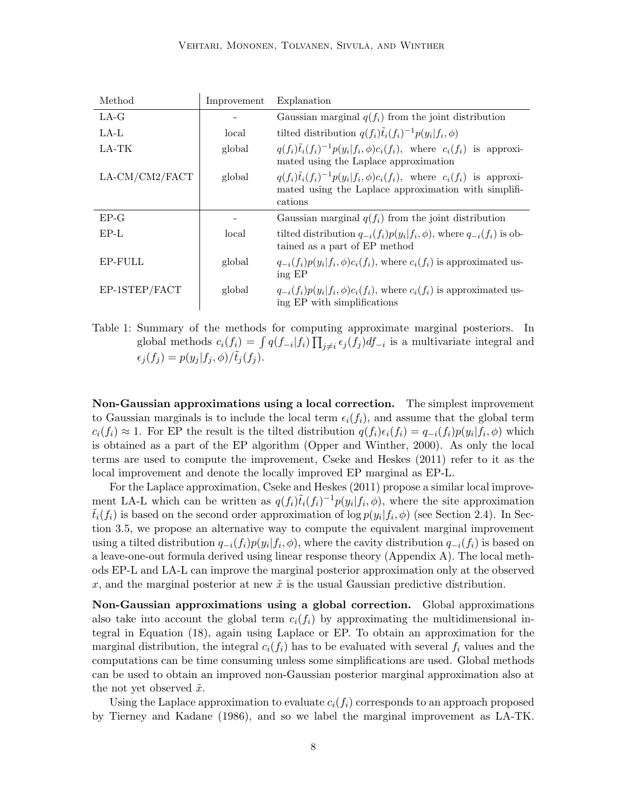| Method           | Improvement | Explanation                                                                                                                                            |
|------------------|-------------|--------------------------------------------------------------------------------------------------------------------------------------------------------|
| LA-G             |             | Gaussian marginal $q(f_i)$ from the joint distribution                                                                                                 |
| LA-L             | local       | tilted distribution $q(f_i)\tilde{t}_i(f_i)^{-1}p(y_i f_i,\phi)$                                                                                       |
| LA-TK            | global      | $q(f_i)\tilde{t}_i(f_i)^{-1}p(y_i f_i,\phi)c_i(f_i)$ , where $c_i(f_i)$ is approxi-<br>mated using the Laplace approximation                           |
| $LA-CM/CM2/FACT$ | global      | $q(f_i)\tilde{t}_i(f_i)^{-1}p(y_i f_i,\phi)c_i(f_i)$ , where $c_i(f_i)$ is approxi-<br>mated using the Laplace approximation with simplifi-<br>cations |
| $EP-G$           |             | Gaussian marginal $q(f_i)$ from the joint distribution                                                                                                 |
| EP-L             | local       | tilted distribution $q_{-i}(f_i)p(y_i f_i,\phi)$ , where $q_{-i}(f_i)$ is ob-<br>tained as a part of EP method                                         |
| EP-FULL          | global      | $q_{-i}(f_i)p(y_i f_i,\phi)c_i(f_i)$ , where $c_i(f_i)$ is approximated us-<br>ing EP                                                                  |
| EP-1STEP/FACT    | global      | $q_{-i}(f_i)p(y_i f_i,\phi)c_i(f_i)$ , where $c_i(f_i)$ is approximated us-<br>ing EP with simplifications                                             |

<span id="page-8-0"></span>Table 1: Summary of the methods for computing approximate marginal posteriors. In global methods  $c_i(f_i) = \int q(f_{-i}|f_i) \prod_{j \neq i} \epsilon_j(f_j) df_{-i}$  is a multivariate integral and  $\epsilon_i(f_i) = p(y_i | f_i, \phi) / \tilde{t}_i(f_i).$ 

Non-Gaussian approximations using a local correction. The simplest improvement to Gaussian marginals is to include the local term  $\epsilon_i(f_i)$ , and assume that the global term  $c_i(f_i) \approx 1$ . For EP the result is the tilted distribution  $q(f_i)\epsilon_i(f_i) = q_{-i}(f_i)p(y_i|f_i, \phi)$  which is obtained as a part of the EP algorithm [\(Opper and Winther,](#page-36-7) [2000\)](#page-36-7). As only the local terms are used to compute the improvement, [Cseke and Heskes](#page-34-6) [\(2011\)](#page-34-6) refer to it as the local improvement and denote the locally improved EP marginal as EP-L.

For the Laplace approximation, [Cseke and Heskes](#page-34-6) [\(2011\)](#page-34-6) propose a similar local improvement LA-L which can be written as  $q(f_i)\tilde{t}_i(f_i)^{-1}p(y_i|f_i,\phi)$ , where the site approximation  $\tilde{t}_i(f_i)$  is based on the second order approximation of  $\log p(y_i|f_i, \phi)$  (see Section [2.4\)](#page-6-0). In Section [3.5,](#page-12-0) we propose an alternative way to compute the equivalent marginal improvement using a tilted distribution  $q_{-i}(f_i)p(y_i|f_i, \phi)$ , where the cavity distribution  $q_{-i}(f_i)$  is based on a leave-one-out formula derived using linear response theory (Appendix [A\)](#page-29-0). The local methods EP-L and LA-L can improve the marginal posterior approximation only at the observed x, and the marginal posterior at new  $\tilde{x}$  is the usual Gaussian predictive distribution.

Non-Gaussian approximations using a global correction. Global approximations also take into account the global term  $c_i(f_i)$  by approximating the multidimensional integral in Equation [\(18\)](#page-7-0), again using Laplace or EP. To obtain an approximation for the marginal distribution, the integral  $c_i(f_i)$  has to be evaluated with several  $f_i$  values and the computations can be time consuming unless some simplifications are used. Global methods can be used to obtain an improved non-Gaussian posterior marginal approximation also at the not yet observed  $\tilde{x}$ .

Using the Laplace approximation to evaluate  $c_i(f_i)$  corresponds to an approach proposed by [Tierney and Kadane](#page-37-6) [\(1986\)](#page-37-6), and so we label the marginal improvement as LA-TK.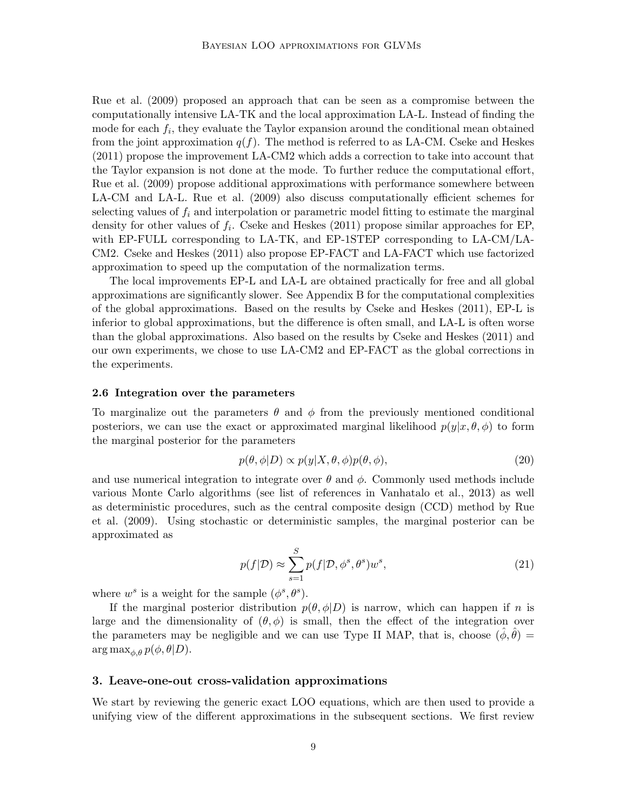[Rue et al.](#page-36-5) [\(2009\)](#page-36-5) proposed an approach that can be seen as a compromise between the computationally intensive LA-TK and the local approximation LA-L. Instead of finding the mode for each  $f_i$ , they evaluate the Taylor expansion around the conditional mean obtained from the joint approximation  $q(f)$ . The method is referred to as LA-CM. [Cseke and Heskes](#page-34-6) [\(2011\)](#page-34-6) propose the improvement LA-CM2 which adds a correction to take into account that the Taylor expansion is not done at the mode. To further reduce the computational effort, [Rue et al.](#page-36-5) [\(2009\)](#page-36-5) propose additional approximations with performance somewhere between LA-CM and LA-L. [Rue et al.](#page-36-5) [\(2009\)](#page-36-5) also discuss computationally efficient schemes for selecting values of  $f_i$  and interpolation or parametric model fitting to estimate the marginal density for other values of  $f_i$ . [Cseke and Heskes](#page-34-6) [\(2011\)](#page-34-6) propose similar approaches for EP, with EP-FULL corresponding to LA-TK, and EP-1STEP corresponding to LA-CM/LA-CM2. [Cseke and Heskes](#page-34-6) [\(2011\)](#page-34-6) also propose EP-FACT and LA-FACT which use factorized approximation to speed up the computation of the normalization terms.

The local improvements EP-L and LA-L are obtained practically for free and all global approximations are significantly slower. See Appendix [B](#page-31-0) for the computational complexities of the global approximations. Based on the results by [Cseke and Heskes](#page-34-6) [\(2011\)](#page-34-6), EP-L is inferior to global approximations, but the difference is often small, and LA-L is often worse than the global approximations. Also based on the results by [Cseke and Heskes](#page-34-6) [\(2011\)](#page-34-6) and our own experiments, we chose to use LA-CM2 and EP-FACT as the global corrections in the experiments.

#### 2.6 Integration over the parameters

To marginalize out the parameters  $\theta$  and  $\phi$  from the previously mentioned conditional posteriors, we can use the exact or approximated marginal likelihood  $p(y|x, \theta, \phi)$  to form the marginal posterior for the parameters

$$
p(\theta, \phi|D) \propto p(y|X, \theta, \phi)p(\theta, \phi),\tag{20}
$$

and use numerical integration to integrate over  $\theta$  and  $\phi$ . Commonly used methods include various Monte Carlo algorithms (see list of references in [Vanhatalo et al.,](#page-37-5) [2013\)](#page-37-5) as well as deterministic procedures, such as the central composite design (CCD) method by [Rue](#page-36-5) [et al.](#page-36-5) [\(2009\)](#page-36-5). Using stochastic or deterministic samples, the marginal posterior can be approximated as

<span id="page-9-1"></span>
$$
p(f|\mathcal{D}) \approx \sum_{s=1}^{S} p(f|\mathcal{D}, \phi^s, \theta^s) w^s,\tag{21}
$$

where  $w^s$  is a weight for the sample  $(\phi^s, \theta^s)$ .

If the marginal posterior distribution  $p(\theta, \phi|D)$  is narrow, which can happen if n is large and the dimensionality of  $(\theta, \phi)$  is small, then the effect of the integration over the parameters may be negligible and we can use Type II MAP, that is, choose  $(\hat{\phi}, \hat{\theta}) =$  $\arg \max_{\phi, \theta} p(\phi, \theta | D).$ 

## <span id="page-9-0"></span>3. Leave-one-out cross-validation approximations

We start by reviewing the generic exact LOO equations, which are then used to provide a unifying view of the different approximations in the subsequent sections. We first review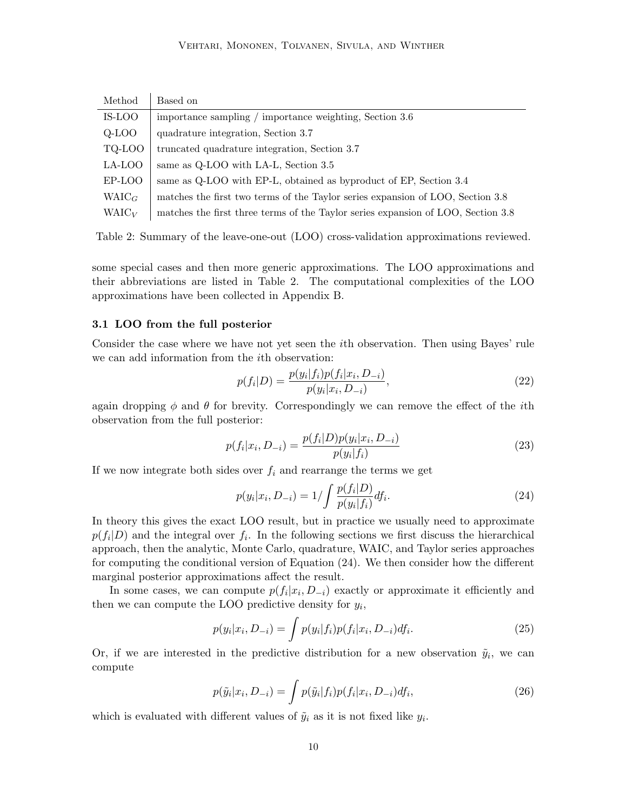| Method    | Based on                                                                         |
|-----------|----------------------------------------------------------------------------------|
| IS-LOO    | importance sampling / importance weighting, Section 3.6                          |
| Q-LOO     | quadrature integration, Section 3.7                                              |
| TQ-LOO    | truncated quadrature integration, Section 3.7                                    |
| LA-LOO    | same as Q-LOO with LA-L, Section 3.5                                             |
| EP-LOO    | same as Q-LOO with EP-L, obtained as byproduct of EP, Section 3.4                |
| $W AIC_G$ | matches the first two terms of the Taylor series expansion of LOO, Section 3.8   |
| $W AIC_V$ | matches the first three terms of the Taylor series expansion of LOO, Section 3.8 |

<span id="page-10-0"></span>Table 2: Summary of the leave-one-out (LOO) cross-validation approximations reviewed.

some special cases and then more generic approximations. The LOO approximations and their abbreviations are listed in Table [2.](#page-10-0) The computational complexities of the LOO approximations have been collected in Appendix [B.](#page-31-0)

#### 3.1 LOO from the full posterior

Consider the case where we have not yet seen the ith observation. Then using Bayes' rule we can add information from the ith observation:

$$
p(f_i|D) = \frac{p(y_i|f_i)p(f_i|x_i, D_{-i})}{p(y_i|x_i, D_{-i})},
$$
\n(22)

again dropping  $\phi$  and  $\theta$  for brevity. Correspondingly we can remove the effect of the *i*th observation from the full posterior:

$$
p(f_i|x_i, D_{-i}) = \frac{p(f_i|D)p(y_i|x_i, D_{-i})}{p(y_i|f_i)}
$$
\n(23)

If we now integrate both sides over  $f_i$  and rearrange the terms we get

<span id="page-10-1"></span>
$$
p(y_i|x_i, D_{-i}) = 1/\int \frac{p(f_i|D)}{p(y_i|f_i)} df_i.
$$
\n(24)

In theory this gives the exact LOO result, but in practice we usually need to approximate  $p(f_i|D)$  and the integral over  $f_i$ . In the following sections we first discuss the hierarchical approach, then the analytic, Monte Carlo, quadrature, WAIC, and Taylor series approaches for computing the conditional version of Equation [\(24\)](#page-10-1). We then consider how the different marginal posterior approximations affect the result.

In some cases, we can compute  $p(f_i|x_i, D_{-i})$  exactly or approximate it efficiently and then we can compute the LOO predictive density for  $y_i$ ,

$$
p(y_i|x_i, D_{-i}) = \int p(y_i|f_i)p(f_i|x_i, D_{-i})df_i.
$$
 (25)

Or, if we are interested in the predictive distribution for a new observation  $\tilde{y}_i$ , we can compute

$$
p(\tilde{y}_i|x_i, D_{-i}) = \int p(\tilde{y}_i|f_i)p(f_i|x_i, D_{-i})df_i,
$$
\n(26)

which is evaluated with different values of  $\tilde{y}_i$  as it is not fixed like  $y_i$ .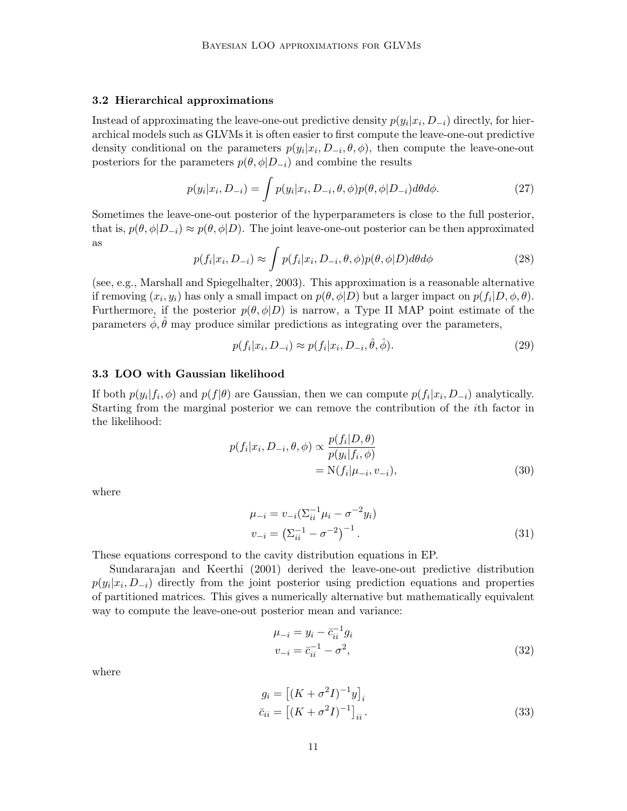#### <span id="page-11-3"></span>3.2 Hierarchical approximations

Instead of approximating the leave-one-out predictive density  $p(y_i|x_i, D_{-i})$  directly, for hierarchical models such as GLVMs it is often easier to first compute the leave-one-out predictive density conditional on the parameters  $p(y_i|x_i, D_{-i}, \theta, \phi)$ , then compute the leave-one-out posteriors for the parameters  $p(\theta, \phi|D_{-i})$  and combine the results

$$
p(y_i|x_i, D_{-i}) = \int p(y_i|x_i, D_{-i}, \theta, \phi)p(\theta, \phi|D_{-i})d\theta d\phi.
$$
 (27)

Sometimes the leave-one-out posterior of the hyperparameters is close to the full posterior, that is,  $p(\theta, \phi|D_{-i}) \approx p(\theta, \phi|D)$ . The joint leave-one-out posterior can be then approximated as

<span id="page-11-2"></span>
$$
p(f_i|x_i, D_{-i}) \approx \int p(f_i|x_i, D_{-i}, \theta, \phi)p(\theta, \phi|D)d\theta d\phi
$$
\n(28)

(see, e.g., [Marshall and Spiegelhalter,](#page-35-8) [2003\)](#page-35-8). This approximation is a reasonable alternative if removing  $(x_i, y_i)$  has only a small impact on  $p(\theta, \phi|D)$  but a larger impact on  $p(f_i|D, \phi, \theta)$ . Furthermore, if the posterior  $p(\theta, \phi|D)$  is narrow, a Type II MAP point estimate of the parameters  $\hat{\phi}, \hat{\theta}$  may produce similar predictions as integrating over the parameters,

$$
p(f_i|x_i, D_{-i}) \approx p(f_i|x_i, D_{-i}, \hat{\theta}, \hat{\phi}).
$$
\n(29)

# <span id="page-11-1"></span>3.3 LOO with Gaussian likelihood

If both  $p(y_i|f_i, \phi)$  and  $p(f|\theta)$  are Gaussian, then we can compute  $p(f_i|x_i, D_{-i})$  analytically. Starting from the marginal posterior we can remove the contribution of the ith factor in the likelihood:

$$
p(f_i|x_i, D_{-i}, \theta, \phi) \propto \frac{p(f_i|D, \theta)}{p(y_i|f_i, \phi)}
$$
  
= N(f\_i|\mu\_{-i}, v\_{-i}), (30)

where

$$
\mu_{-i} = v_{-i} \left( \sum_{ii}^{-1} \mu_i - \sigma^{-2} y_i \right)
$$
  
\n
$$
v_{-i} = \left( \sum_{ii}^{-1} - \sigma^{-2} \right)^{-1}.
$$
\n(31)

These equations correspond to the cavity distribution equations in EP.

[Sundararajan and Keerthi](#page-37-7) [\(2001\)](#page-37-7) derived the leave-one-out predictive distribution  $p(y_i|x_i, D_{-i})$  directly from the joint posterior using prediction equations and properties of partitioned matrices. This gives a numerically alternative but mathematically equivalent way to compute the leave-one-out posterior mean and variance:

<span id="page-11-0"></span>
$$
\mu_{-i} = y_i - \bar{c}_{ii}^{-1} g_i \n v_{-i} = \bar{c}_{ii}^{-1} - \sigma^2,
$$
\n(32)

where

$$
g_i = \left[ (K + \sigma^2 I)^{-1} y \right]_i
$$
  
\n
$$
\bar{c}_{ii} = \left[ (K + \sigma^2 I)^{-1} \right]_{ii}.
$$
\n(33)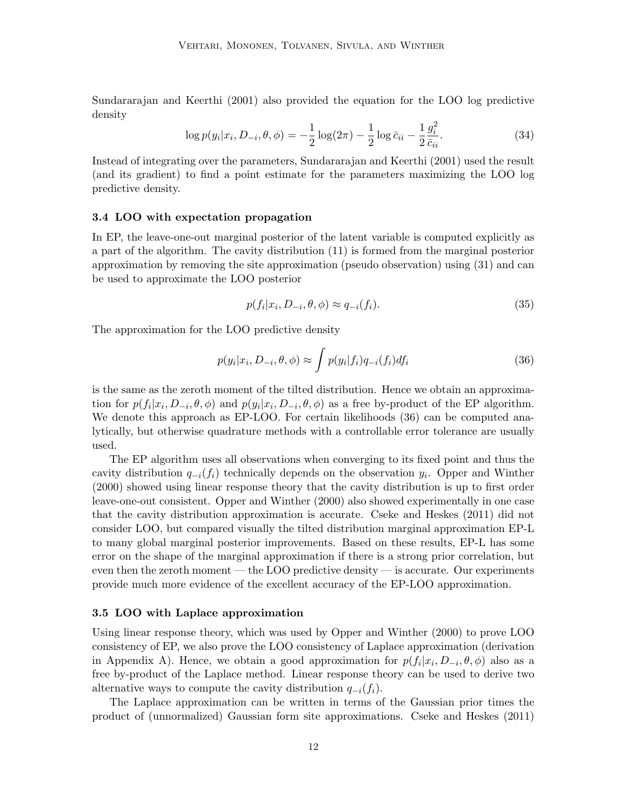[Sundararajan and Keerthi](#page-37-7) [\(2001\)](#page-37-7) also provided the equation for the LOO log predictive density

$$
\log p(y_i|x_i, D_{-i}, \theta, \phi) = -\frac{1}{2}\log(2\pi) - \frac{1}{2}\log \bar{c}_{ii} - \frac{1}{2}\frac{g_i^2}{\bar{c}_{ii}}.
$$
\n(34)

Instead of integrating over the parameters, [Sundararajan and Keerthi](#page-37-7) [\(2001\)](#page-37-7) used the result (and its gradient) to find a point estimate for the parameters maximizing the LOO log predictive density.

#### <span id="page-12-1"></span>3.4 LOO with expectation propagation

In EP, the leave-one-out marginal posterior of the latent variable is computed explicitly as a part of the algorithm. The cavity distribution [\(11\)](#page-6-1) is formed from the marginal posterior approximation by removing the site approximation (pseudo observation) using [\(31\)](#page-11-0) and can be used to approximate the LOO posterior

<span id="page-12-2"></span>
$$
p(f_i|x_i, D_{-i}, \theta, \phi) \approx q_{-i}(f_i). \tag{35}
$$

The approximation for the LOO predictive density

$$
p(y_i|x_i, D_{-i}, \theta, \phi) \approx \int p(y_i|f_i)q_{-i}(f_i)df_i
$$
\n(36)

is the same as the zeroth moment of the tilted distribution. Hence we obtain an approximation for  $p(f_i|x_i, D_{-i}, \theta, \phi)$  and  $p(y_i|x_i, D_{-i}, \theta, \phi)$  as a free by-product of the EP algorithm. We denote this approach as EP-LOO. For certain likelihoods [\(36\)](#page-12-2) can be computed analytically, but otherwise quadrature methods with a controllable error tolerance are usually used.

The EP algorithm uses all observations when converging to its fixed point and thus the cavity distribution  $q_{-i}(f_i)$  technically depends on the observation  $y_i$ . [Opper and Winther](#page-36-7) [\(2000\)](#page-36-7) showed using linear response theory that the cavity distribution is up to first order leave-one-out consistent. [Opper and Winther](#page-36-7) [\(2000\)](#page-36-7) also showed experimentally in one case that the cavity distribution approximation is accurate. [Cseke and Heskes](#page-34-6) [\(2011\)](#page-34-6) did not consider LOO, but compared visually the tilted distribution marginal approximation EP-L to many global marginal posterior improvements. Based on these results, EP-L has some error on the shape of the marginal approximation if there is a strong prior correlation, but even then the zeroth moment — the LOO predictive density — is accurate. Our experiments provide much more evidence of the excellent accuracy of the EP-LOO approximation.

#### <span id="page-12-0"></span>3.5 LOO with Laplace approximation

Using linear response theory, which was used by [Opper and Winther](#page-36-7) [\(2000\)](#page-36-7) to prove LOO consistency of EP, we also prove the LOO consistency of Laplace approximation (derivation in Appendix [A\)](#page-29-0). Hence, we obtain a good approximation for  $p(f_i|x_i, D_{-i}, \theta, \phi)$  also as a free by-product of the Laplace method. Linear response theory can be used to derive two alternative ways to compute the cavity distribution  $q_{-i}(f_i)$ .

The Laplace approximation can be written in terms of the Gaussian prior times the product of (unnormalized) Gaussian form site approximations. [Cseke and Heskes](#page-34-6) [\(2011\)](#page-34-6)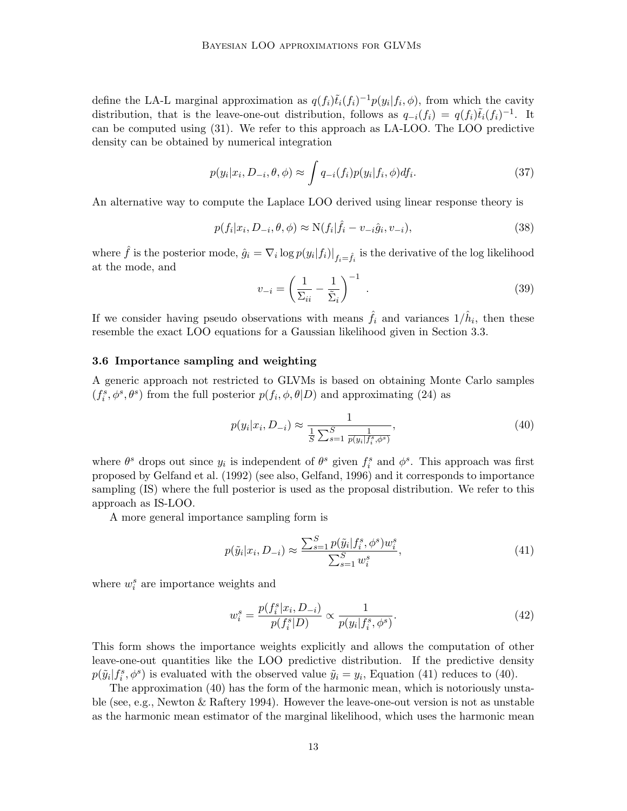define the LA-L marginal approximation as  $q(f_i)\tilde{t}_i(f_i)^{-1}p(y_i|f_i,\phi)$ , from which the cavity distribution, that is the leave-one-out distribution, follows as  $q_{-i}(f_i) = q(f_i)\tilde{t}_i(f_i)^{-1}$ . It can be computed using [\(31\)](#page-11-0). We refer to this approach as LA-LOO. The LOO predictive density can be obtained by numerical integration

$$
p(y_i|x_i, D_{-i}, \theta, \phi) \approx \int q_{-i}(f_i)p(y_i|f_i, \phi)df_i.
$$
 (37)

An alternative way to compute the Laplace LOO derived using linear response theory is

<span id="page-13-3"></span>
$$
p(f_i|x_i, D_{-i}, \theta, \phi) \approx \mathcal{N}(f_i|\hat{f}_i - v_{-i}\hat{g}_i, v_{-i}),
$$
\n(38)

where  $\hat{f}$  is the posterior mode,  $\hat{g}_i = \nabla_i \log p(y_i|f_i)|_{f_i = \hat{f}_i}$  is the derivative of the log likelihood at the mode, and

$$
v_{-i} = \left(\frac{1}{\Sigma_{ii}} - \frac{1}{\tilde{\Sigma}_i}\right)^{-1} . \tag{39}
$$

If we consider having pseudo observations with means  $\hat{f}_i$  and variances  $1/\hat{h}_i$ , then these resemble the exact LOO equations for a Gaussian likelihood given in Section [3.3.](#page-11-1)

#### <span id="page-13-0"></span>3.6 Importance sampling and weighting

A generic approach not restricted to GLVMs is based on obtaining Monte Carlo samples  $(f_i^s, \phi^s, \theta^s)$  from the full posterior  $p(f_i, \phi, \theta|D)$  and approximating [\(24\)](#page-10-1) as

<span id="page-13-2"></span>
$$
p(y_i|x_i, D_{-i}) \approx \frac{1}{\frac{1}{S} \sum_{s=1}^{S} \frac{1}{p(y_i|f_i^s, \phi^s)}},
$$
\n(40)

where  $\theta^s$  drops out since  $y_i$  is independent of  $\theta^s$  given  $f_i^s$  and  $\phi^s$ . This approach was first proposed by [Gelfand et al.](#page-34-8) [\(1992\)](#page-34-8) (see also, [Gelfand,](#page-34-5) [1996\)](#page-34-5) and it corresponds to importance sampling (IS) where the full posterior is used as the proposal distribution. We refer to this approach as IS-LOO.

A more general importance sampling form is

<span id="page-13-1"></span>
$$
p(\tilde{y}_i|x_i, D_{-i}) \approx \frac{\sum_{s=1}^S p(\tilde{y}_i|f_i^s, \phi^s) w_i^s}{\sum_{s=1}^S w_i^s},
$$
\n(41)

where  $w_i^s$  are importance weights and

$$
w_i^s = \frac{p(f_i^s | x_i, D_{-i})}{p(f_i^s | D)} \propto \frac{1}{p(y_i | f_i^s, \phi^s)}.
$$
\n(42)

This form shows the importance weights explicitly and allows the computation of other leave-one-out quantities like the LOO predictive distribution. If the predictive density  $p(\tilde{y}_i|f_i^s, \phi^s)$  is evaluated with the observed value  $\tilde{y}_i = y_i$ , Equation [\(41\)](#page-13-1) reduces to [\(40\)](#page-13-2).

The approximation [\(40\)](#page-13-2) has the form of the harmonic mean, which is notoriously unstable (see, e.g., Newton & Raftery 1994). However the leave-one-out version is not as unstable as the harmonic mean estimator of the marginal likelihood, which uses the harmonic mean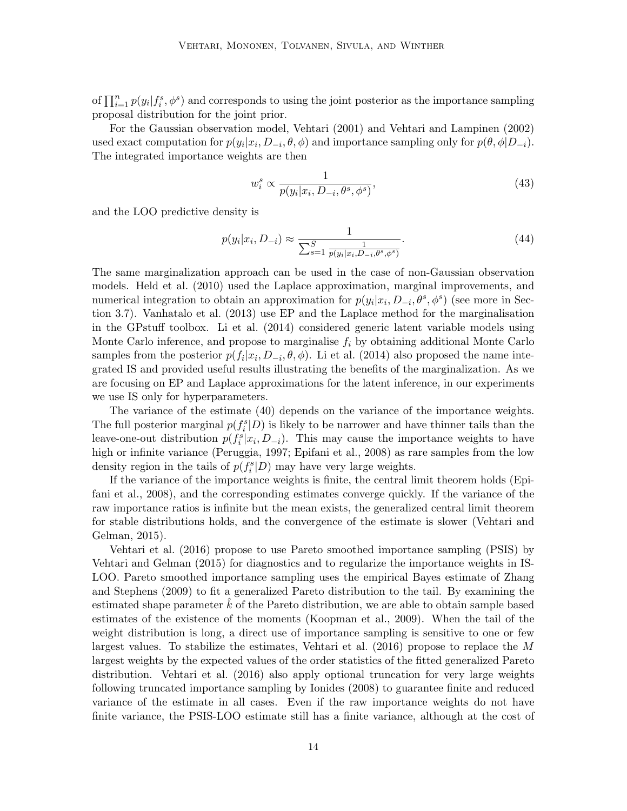of  $\prod_{i=1}^n p(y_i|f_i^s, \phi^s)$  and corresponds to using the joint posterior as the importance sampling proposal distribution for the joint prior.

For the Gaussian observation model, [Vehtari](#page-37-8) [\(2001\)](#page-37-8) and [Vehtari and Lampinen](#page-37-9) [\(2002\)](#page-37-9) used exact computation for  $p(y_i|x_i, D_{-i}, \theta, \phi)$  and importance sampling only for  $p(\theta, \phi|D_{-i})$ . The integrated importance weights are then

$$
w_i^s \propto \frac{1}{p(y_i|x_i, D_{-i}, \theta^s, \phi^s)},\tag{43}
$$

and the LOO predictive density is

$$
p(y_i|x_i, D_{-i}) \approx \frac{1}{\sum_{s=1}^{S} \frac{1}{p(y_i|x_i, D_{-i}, \theta^s, \phi^s)}}.
$$
\n(44)

The same marginalization approach can be used in the case of non-Gaussian observation models. [Held et al.](#page-35-9) [\(2010\)](#page-35-9) used the Laplace approximation, marginal improvements, and numerical integration to obtain an approximation for  $p(y_i|x_i, D_{-i}, \theta^s, \phi^s)$  (see more in Section [3.7\)](#page-15-0). [Vanhatalo et al.](#page-37-5) [\(2013\)](#page-37-5) use EP and the Laplace method for the marginalisation in the GPstuff toolbox. [Li et al.](#page-35-10) [\(2014\)](#page-35-10) considered generic latent variable models using Monte Carlo inference, and propose to marginalise  $f_i$  by obtaining additional Monte Carlo samples from the posterior  $p(f_i|x_i, D_{-i}, \theta, \phi)$ . [Li et al.](#page-35-10) [\(2014\)](#page-35-10) also proposed the name integrated IS and provided useful results illustrating the benefits of the marginalization. As we are focusing on EP and Laplace approximations for the latent inference, in our experiments we use IS only for hyperparameters.

The variance of the estimate [\(40\)](#page-13-2) depends on the variance of the importance weights. The full posterior marginal  $p(f_i^s|D)$  is likely to be narrower and have thinner tails than the leave-one-out distribution  $p(f_i^s|x_i, D_{-i})$ . This may cause the importance weights to have high or infinite variance [\(Peruggia,](#page-36-8) [1997;](#page-36-8) [Epifani et al.,](#page-34-9) [2008\)](#page-34-9) as rare samples from the low density region in the tails of  $p(f_i^s|D)$  may have very large weights.

If the variance of the importance weights is finite, the central limit theorem holds [\(Epi](#page-34-9)[fani et al.,](#page-34-9) [2008\)](#page-34-9), and the corresponding estimates converge quickly. If the variance of the raw importance ratios is infinite but the mean exists, the generalized central limit theorem for stable distributions holds, and the convergence of the estimate is slower [\(Vehtari and](#page-37-10) [Gelman,](#page-37-10) [2015\)](#page-37-10).

[Vehtari et al.](#page-38-0) [\(2016\)](#page-38-0) propose to use Pareto smoothed importance sampling (PSIS) by [Vehtari and Gelman](#page-37-10) [\(2015\)](#page-37-10) for diagnostics and to regularize the importance weights in IS-LOO. Pareto smoothed importance sampling uses the empirical Bayes estimate of [Zhang](#page-38-1) [and Stephens](#page-38-1) [\(2009\)](#page-38-1) to fit a generalized Pareto distribution to the tail. By examining the estimated shape parameter  $k$  of the Pareto distribution, we are able to obtain sample based estimates of the existence of the moments [\(Koopman et al.,](#page-35-11) [2009\)](#page-35-11). When the tail of the weight distribution is long, a direct use of importance sampling is sensitive to one or few largest values. To stabilize the estimates, [Vehtari et al.](#page-38-0)  $(2016)$  propose to replace the M largest weights by the expected values of the order statistics of the fitted generalized Pareto distribution. [Vehtari et al.](#page-38-0) [\(2016\)](#page-38-0) also apply optional truncation for very large weights following truncated importance sampling by [Ionides](#page-35-12) [\(2008\)](#page-35-12) to guarantee finite and reduced variance of the estimate in all cases. Even if the raw importance weights do not have finite variance, the PSIS-LOO estimate still has a finite variance, although at the cost of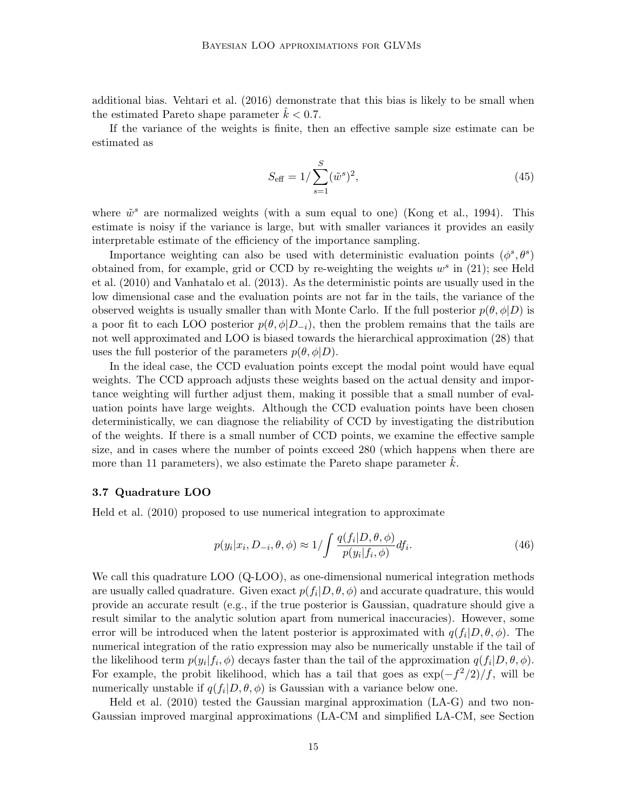additional bias. [Vehtari et al.](#page-38-0) [\(2016\)](#page-38-0) demonstrate that this bias is likely to be small when the estimated Pareto shape parameter  $k < 0.7$ .

If the variance of the weights is finite, then an effective sample size estimate can be estimated as

$$
S_{\text{eff}} = 1 / \sum_{s=1}^{S} (\tilde{w}^s)^2,
$$
\n(45)

where  $\tilde{w}^s$  are normalized weights (with a sum equal to one) [\(Kong et al.,](#page-35-13) [1994\)](#page-35-13). This estimate is noisy if the variance is large, but with smaller variances it provides an easily interpretable estimate of the efficiency of the importance sampling.

Importance weighting can also be used with deterministic evaluation points  $(\phi^s, \theta^s)$ obtained from, for example, grid or CCD by re-weighting the weights  $w^s$  in [\(21\)](#page-9-1); see [Held](#page-35-9) [et al.](#page-35-9) [\(2010\)](#page-35-9) and [Vanhatalo et al.](#page-37-5) [\(2013\)](#page-37-5). As the deterministic points are usually used in the low dimensional case and the evaluation points are not far in the tails, the variance of the observed weights is usually smaller than with Monte Carlo. If the full posterior  $p(\theta, \phi|D)$  is a poor fit to each LOO posterior  $p(\theta, \phi|D_{-i})$ , then the problem remains that the tails are not well approximated and LOO is biased towards the hierarchical approximation [\(28\)](#page-11-2) that uses the full posterior of the parameters  $p(\theta, \phi|D)$ .

In the ideal case, the CCD evaluation points except the modal point would have equal weights. The CCD approach adjusts these weights based on the actual density and importance weighting will further adjust them, making it possible that a small number of evaluation points have large weights. Although the CCD evaluation points have been chosen deterministically, we can diagnose the reliability of CCD by investigating the distribution of the weights. If there is a small number of CCD points, we examine the effective sample size, and in cases where the number of points exceed 280 (which happens when there are more than 11 parameters), we also estimate the Pareto shape parameter  $k$ .

## <span id="page-15-0"></span>3.7 Quadrature LOO

[Held et al.](#page-35-9) [\(2010\)](#page-35-9) proposed to use numerical integration to approximate

<span id="page-15-1"></span>
$$
p(y_i|x_i, D_{-i}, \theta, \phi) \approx 1/\int \frac{q(f_i|D, \theta, \phi)}{p(y_i|f_i, \phi)} df_i.
$$
\n(46)

We call this quadrature LOO (Q-LOO), as one-dimensional numerical integration methods are usually called quadrature. Given exact  $p(f_i|D, \theta, \phi)$  and accurate quadrature, this would provide an accurate result (e.g., if the true posterior is Gaussian, quadrature should give a result similar to the analytic solution apart from numerical inaccuracies). However, some error will be introduced when the latent posterior is approximated with  $q(f_i|D, \theta, \phi)$ . The numerical integration of the ratio expression may also be numerically unstable if the tail of the likelihood term  $p(y_i|f_i, \phi)$  decays faster than the tail of the approximation  $q(f_i|D, \theta, \phi)$ . For example, the probit likelihood, which has a tail that goes as  $\exp(-f^2/2)/f$ , will be numerically unstable if  $q(f_i|D, \theta, \phi)$  is Gaussian with a variance below one.

[Held et al.](#page-35-9) [\(2010\)](#page-35-9) tested the Gaussian marginal approximation (LA-G) and two non-Gaussian improved marginal approximations (LA-CM and simplified LA-CM, see Section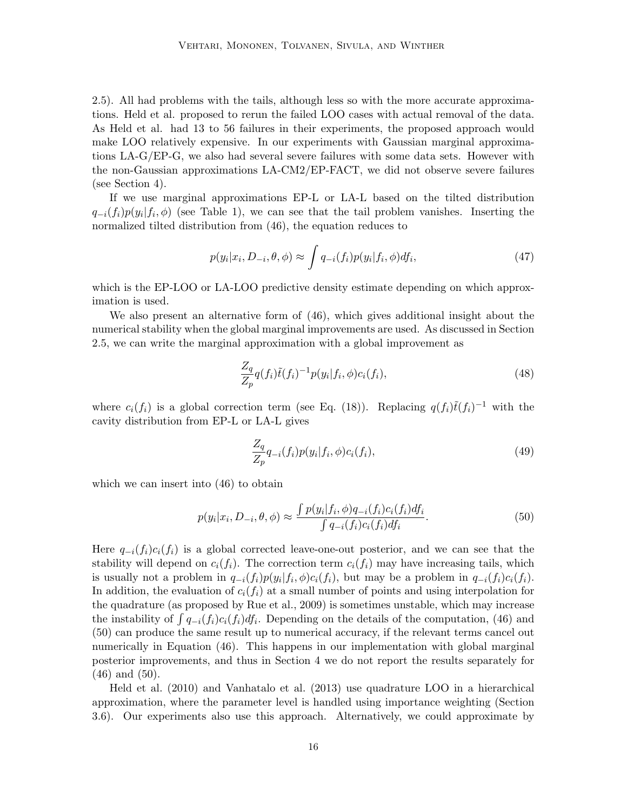[2.5\)](#page-7-1). All had problems with the tails, although less so with the more accurate approximations. [Held et al.](#page-35-9) proposed to rerun the failed LOO cases with actual removal of the data. As [Held et al.](#page-35-9) had 13 to 56 failures in their experiments, the proposed approach would make LOO relatively expensive. In our experiments with Gaussian marginal approximations LA-G/EP-G, we also had several severe failures with some data sets. However with the non-Gaussian approximations LA-CM2/EP-FACT, we did not observe severe failures (see Section [4\)](#page-20-0).

If we use marginal approximations EP-L or LA-L based on the tilted distribution  $q_{-i}(f_i)p(y_i|f_i,\phi)$  (see Table [1\)](#page-8-0), we can see that the tail problem vanishes. Inserting the normalized tilted distribution from [\(46\)](#page-15-1), the equation reduces to

$$
p(y_i|x_i, D_{-i}, \theta, \phi) \approx \int q_{-i}(f_i)p(y_i|f_i, \phi)df_i,
$$
\n(47)

which is the EP-LOO or LA-LOO predictive density estimate depending on which approximation is used.

We also present an alternative form of [\(46\)](#page-15-1), which gives additional insight about the numerical stability when the global marginal improvements are used. As discussed in Section [2.5,](#page-7-1) we can write the marginal approximation with a global improvement as

$$
\frac{Z_q}{Z_p}q(f_i)\tilde{t}(f_i)^{-1}p(y_i|f_i,\phi)c_i(f_i),\tag{48}
$$

where  $c_i(f_i)$  is a global correction term (see Eq. [\(18\)](#page-7-0)). Replacing  $q(f_i)\tilde{t}(f_i)^{-1}$  with the cavity distribution from EP-L or LA-L gives

<span id="page-16-0"></span>
$$
\frac{Z_q}{Z_p}q_{-i}(f_i)p(y_i|f_i,\phi)c_i(f_i),\tag{49}
$$

which we can insert into  $(46)$  to obtain

$$
p(y_i|x_i, D_{-i}, \theta, \phi) \approx \frac{\int p(y_i|f_i, \phi) q_{-i}(f_i)c_i(f_i) df_i}{\int q_{-i}(f_i)c_i(f_i) df_i}.
$$
\n(50)

Here  $q_{-i}(f_i)c_i(f_i)$  is a global corrected leave-one-out posterior, and we can see that the stability will depend on  $c_i(f_i)$ . The correction term  $c_i(f_i)$  may have increasing tails, which is usually not a problem in  $q_{-i}(f_i)p(y_i|f_i, \phi)c_i(f_i)$ , but may be a problem in  $q_{-i}(f_i)c_i(f_i)$ . In addition, the evaluation of  $c_i(f_i)$  at a small number of points and using interpolation for the quadrature (as proposed by [Rue et al.,](#page-36-5) [2009\)](#page-36-5) is sometimes unstable, which may increase the instability of  $\int q_{-i}(f_i)c_i(f_i)df_i$ . Depending on the details of the computation, [\(46\)](#page-15-1) and [\(50\)](#page-16-0) can produce the same result up to numerical accuracy, if the relevant terms cancel out numerically in Equation [\(46\)](#page-15-1). This happens in our implementation with global marginal posterior improvements, and thus in Section [4](#page-20-0) we do not report the results separately for [\(46\)](#page-15-1) and [\(50\)](#page-16-0).

[Held et al.](#page-35-9) [\(2010\)](#page-35-9) and [Vanhatalo et al.](#page-37-5) [\(2013\)](#page-37-5) use quadrature LOO in a hierarchical approximation, where the parameter level is handled using importance weighting (Section [3.6\)](#page-13-0). Our experiments also use this approach. Alternatively, we could approximate by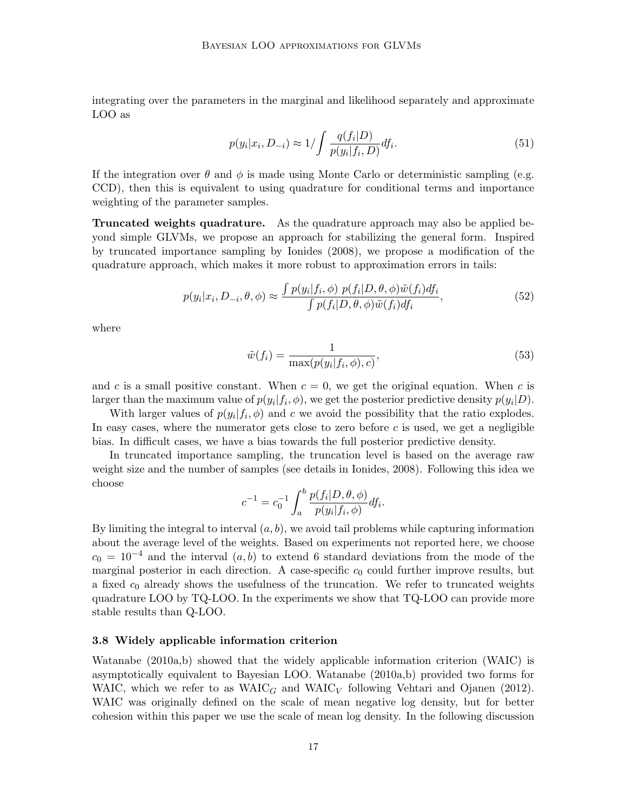integrating over the parameters in the marginal and likelihood separately and approximate LOO as

$$
p(y_i|x_i, D_{-i}) \approx 1/\int \frac{q(f_i|D)}{p(y_i|f_i, D)} df_i.
$$
\n(51)

If the integration over  $\theta$  and  $\phi$  is made using Monte Carlo or deterministic sampling (e.g. CCD), then this is equivalent to using quadrature for conditional terms and importance weighting of the parameter samples.

Truncated weights quadrature. As the quadrature approach may also be applied beyond simple GLVMs, we propose an approach for stabilizing the general form. Inspired by truncated importance sampling by [Ionides](#page-35-12) [\(2008\)](#page-35-12), we propose a modification of the quadrature approach, which makes it more robust to approximation errors in tails:

$$
p(y_i|x_i, D_{-i}, \theta, \phi) \approx \frac{\int p(y_i|f_i, \phi) \ p(f_i|D, \theta, \phi) \tilde{w}(f_i) df_i}{\int p(f_i|D, \theta, \phi) \tilde{w}(f_i) df_i},\tag{52}
$$

where

$$
\tilde{w}(f_i) = \frac{1}{\max(p(y_i|f_i, \phi), c)},\tag{53}
$$

and c is a small positive constant. When  $c = 0$ , we get the original equation. When c is larger than the maximum value of  $p(y_i|f_i, \phi)$ , we get the posterior predictive density  $p(y_i|D)$ .

With larger values of  $p(y_i|f_i, \phi)$  and c we avoid the possibility that the ratio explodes. In easy cases, where the numerator gets close to zero before  $c$  is used, we get a negligible bias. In difficult cases, we have a bias towards the full posterior predictive density.

In truncated importance sampling, the truncation level is based on the average raw weight size and the number of samples (see details in [Ionides,](#page-35-12) [2008\)](#page-35-12). Following this idea we choose

$$
c^{-1} = c_0^{-1} \int_a^b \frac{p(f_i|D, \theta, \phi)}{p(y_i|f_i, \phi)} df_i.
$$

By limiting the integral to interval  $(a, b)$ , we avoid tail problems while capturing information about the average level of the weights. Based on experiments not reported here, we choose  $c_0 = 10^{-4}$  and the interval  $(a, b)$  to extend 6 standard deviations from the mode of the marginal posterior in each direction. A case-specific  $c_0$  could further improve results, but a fixed  $c_0$  already shows the usefulness of the truncation. We refer to truncated weights quadrature LOO by TQ-LOO. In the experiments we show that TQ-LOO can provide more stable results than Q-LOO.

# <span id="page-17-0"></span>3.8 Widely applicable information criterion

[Watanabe](#page-38-2) [\(2010a,](#page-38-2)[b\)](#page-38-3) showed that the widely applicable information criterion (WAIC) is asymptotically equivalent to Bayesian LOO. [Watanabe](#page-38-2) [\(2010a,](#page-38-2)[b\)](#page-38-3) provided two forms for WAIC, which we refer to as  $W AIC_G$  and  $W AIC_V$  following [Vehtari and Ojanen](#page-37-0) [\(2012\)](#page-37-0). WAIC was originally defined on the scale of mean negative log density, but for better cohesion within this paper we use the scale of mean log density. In the following discussion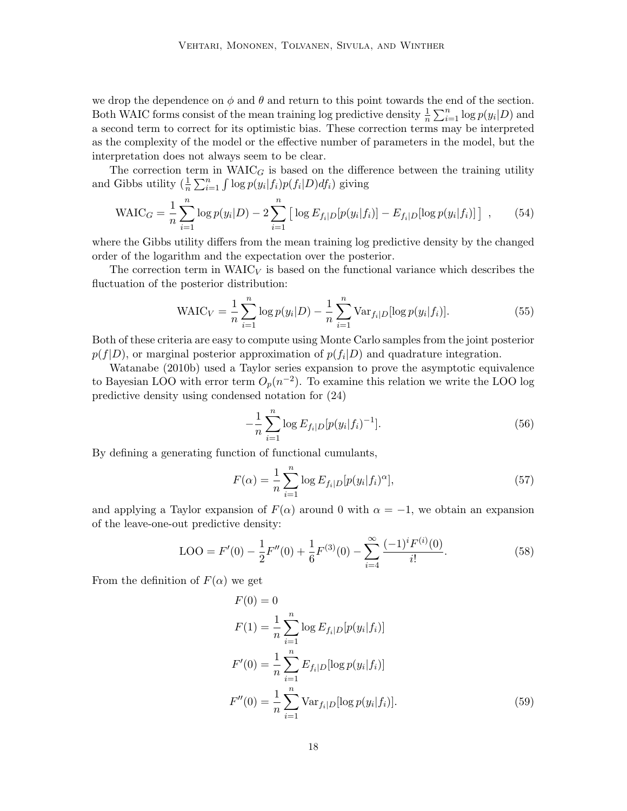we drop the dependence on  $\phi$  and  $\theta$  and return to this point towards the end of the section. Both WAIC forms consist of the mean training log predictive density  $\frac{1}{n} \sum_{i=1}^{n} \log p(y_i|D)$  and a second term to correct for its optimistic bias. These correction terms may be interpreted as the complexity of the model or the effective number of parameters in the model, but the interpretation does not always seem to be clear.

The correction term in  $\text{WAIC}_G$  is based on the difference between the training utility and Gibbs utility  $\left(\frac{1}{n}\sum_{i=1}^n \int \log p(y_i|f_i)p(f_i|D)df_i\right)$  giving

$$
\text{WAIC}_G = \frac{1}{n} \sum_{i=1}^n \log p(y_i|D) - 2 \sum_{i=1}^n \left[ \log E_{f_i|D}[p(y_i|f_i)] - E_{f_i|D}[\log p(y_i|f_i)] \right] ,\qquad(54)
$$

where the Gibbs utility differs from the mean training log predictive density by the changed order of the logarithm and the expectation over the posterior.

The correction term in  $\text{WAIC}_V$  is based on the functional variance which describes the fluctuation of the posterior distribution:

$$
\text{WAIC}_V = \frac{1}{n} \sum_{i=1}^n \log p(y_i|D) - \frac{1}{n} \sum_{i=1}^n \text{Var}_{f_i|D}[\log p(y_i|f_i)].\tag{55}
$$

Both of these criteria are easy to compute using Monte Carlo samples from the joint posterior  $p(f|D)$ , or marginal posterior approximation of  $p(f_i|D)$  and quadrature integration.

[Watanabe](#page-38-3) [\(2010b\)](#page-38-3) used a Taylor series expansion to prove the asymptotic equivalence to Bayesian LOO with error term  $O_p(n^{-2})$ . To examine this relation we write the LOO log predictive density using condensed notation for [\(24\)](#page-10-1)

$$
-\frac{1}{n}\sum_{i=1}^{n}\log E_{f_i|D}[p(y_i|f_i)^{-1}].
$$
\n(56)

By defining a generating function of functional cumulants,

$$
F(\alpha) = \frac{1}{n} \sum_{i=1}^{n} \log E_{f_i|D} [p(y_i|f_i)^{\alpha}],
$$
\n(57)

and applying a Taylor expansion of  $F(\alpha)$  around 0 with  $\alpha = -1$ , we obtain an expansion of the leave-one-out predictive density:

$$
LOO = F'(0) - \frac{1}{2}F''(0) + \frac{1}{6}F^{(3)}(0) - \sum_{i=4}^{\infty} \frac{(-1)^i F^{(i)}(0)}{i!}.
$$
 (58)

From the definition of  $F(\alpha)$  we get

$$
F(0) = 0
$$
  
\n
$$
F(1) = \frac{1}{n} \sum_{i=1}^{n} \log E_{f_i|D}[p(y_i|f_i)]
$$
  
\n
$$
F'(0) = \frac{1}{n} \sum_{i=1}^{n} E_{f_i|D}[\log p(y_i|f_i)]
$$
  
\n
$$
F''(0) = \frac{1}{n} \sum_{i=1}^{n} \text{Var}_{f_i|D}[\log p(y_i|f_i)].
$$
\n(59)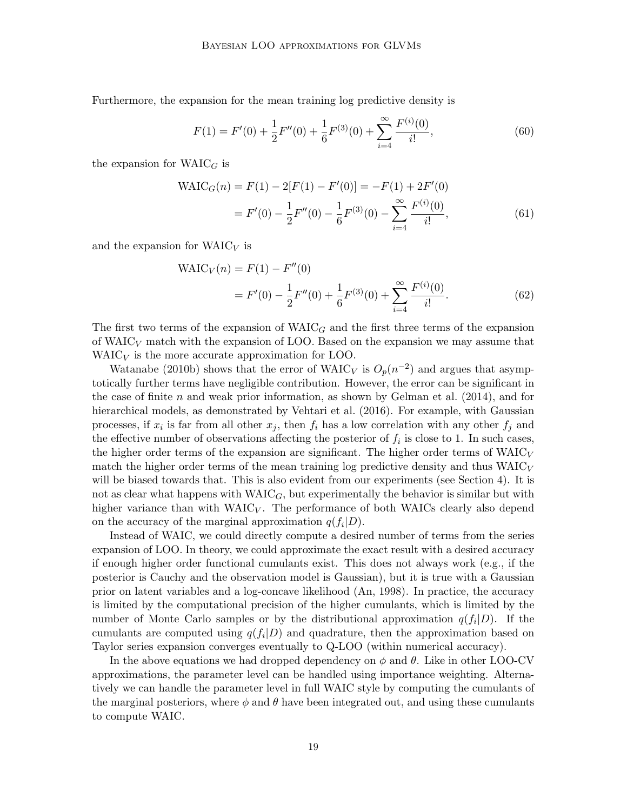Furthermore, the expansion for the mean training log predictive density is

$$
F(1) = F'(0) + \frac{1}{2}F''(0) + \frac{1}{6}F^{(3)}(0) + \sum_{i=4}^{\infty} \frac{F^{(i)}(0)}{i!},
$$
\n(60)

the expansion for  $W AIC<sub>G</sub>$  is

$$
\text{WAIC}_G(n) = F(1) - 2[F(1) - F'(0)] = -F(1) + 2F'(0)
$$
\n
$$
= F'(0) - \frac{1}{2}F''(0) - \frac{1}{6}F^{(3)}(0) - \sum_{i=4}^{\infty} \frac{F^{(i)}(0)}{i!},\tag{61}
$$

and the expansion for  $W AIC_V$  is

$$
\text{WAIC}_V(n) = F(1) - F''(0)
$$
  
=  $F'(0) - \frac{1}{2}F''(0) + \frac{1}{6}F^{(3)}(0) + \sum_{i=4}^{\infty} \frac{F^{(i)}(0)}{i!}.$  (62)

The first two terms of the expansion of  $\text{WAIC}_G$  and the first three terms of the expansion of  $W AIC_V$  match with the expansion of LOO. Based on the expansion we may assume that  $W AIC_V$  is the more accurate approximation for LOO.

[Watanabe](#page-38-3) [\(2010b\)](#page-38-3) shows that the error of WAIC<sub>V</sub> is  $O_p(n^{-2})$  and argues that asymptotically further terms have negligible contribution. However, the error can be significant in the case of finite n and weak prior information, as shown by [Gelman et al.](#page-34-0)  $(2014)$ , and for hierarchical models, as demonstrated by [Vehtari et al.](#page-38-0) [\(2016\)](#page-38-0). For example, with Gaussian processes, if  $x_i$  is far from all other  $x_j$ , then  $f_i$  has a low correlation with any other  $f_j$  and the effective number of observations affecting the posterior of  $f_i$  is close to 1. In such cases, the higher order terms of the expansion are significant. The higher order terms of  $WAC_V$ match the higher order terms of the mean training log predictive density and thus  $W\text{AIC}_V$ will be biased towards that. This is also evident from our experiments (see Section [4\)](#page-20-0). It is not as clear what happens with  $W AIC_G$ , but experimentally the behavior is similar but with higher variance than with  $W AIC_V$ . The performance of both WAICs clearly also depend on the accuracy of the marginal approximation  $q(f_i|D)$ .

Instead of WAIC, we could directly compute a desired number of terms from the series expansion of LOO. In theory, we could approximate the exact result with a desired accuracy if enough higher order functional cumulants exist. This does not always work (e.g., if the posterior is Cauchy and the observation model is Gaussian), but it is true with a Gaussian prior on latent variables and a log-concave likelihood [\(An,](#page-34-10) [1998\)](#page-34-10). In practice, the accuracy is limited by the computational precision of the higher cumulants, which is limited by the number of Monte Carlo samples or by the distributional approximation  $q(f_i|D)$ . If the cumulants are computed using  $q(f_i|D)$  and quadrature, then the approximation based on Taylor series expansion converges eventually to Q-LOO (within numerical accuracy).

In the above equations we had dropped dependency on  $\phi$  and  $\theta$ . Like in other LOO-CV approximations, the parameter level can be handled using importance weighting. Alternatively we can handle the parameter level in full WAIC style by computing the cumulants of the marginal posteriors, where  $\phi$  and  $\theta$  have been integrated out, and using these cumulants to compute WAIC.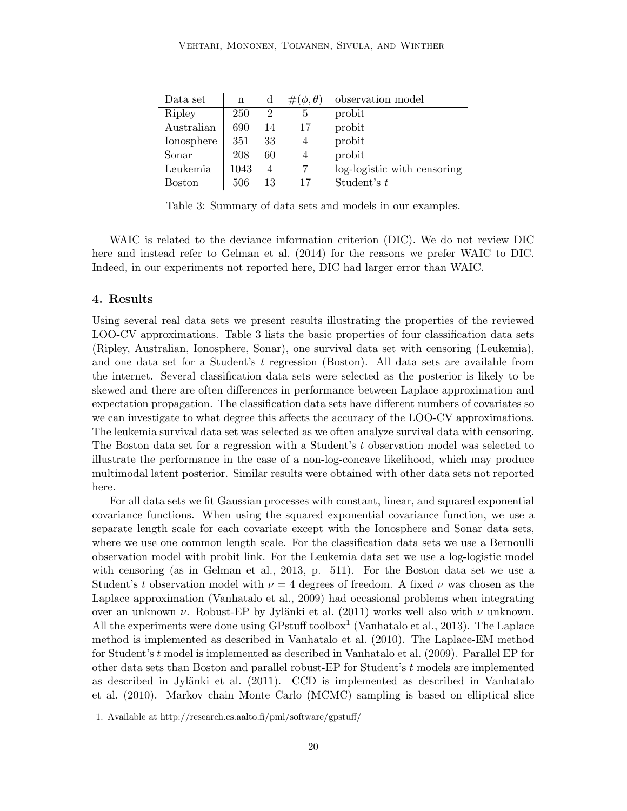| Data set   | n    | d  | $\#(\phi,\theta)$ | observation model           |
|------------|------|----|-------------------|-----------------------------|
| Ripley     | 250  | 2  | 5                 | probit                      |
| Australian | 690  | 14 | 17                | probit                      |
| Ionosphere | 351  | 33 | 4                 | probit                      |
| Sonar      | 208  | 60 | 4                 | probit                      |
| Leukemia   | 1043 | 4  |                   | log-logistic with censoring |
| Boston     | 506  | 13 | 17                | Student's t                 |

<span id="page-20-1"></span>Table 3: Summary of data sets and models in our examples.

WAIC is related to the deviance information criterion (DIC). We do not review DIC here and instead refer to [Gelman et al.](#page-34-0) [\(2014\)](#page-34-0) for the reasons we prefer WAIC to DIC. Indeed, in our experiments not reported here, DIC had larger error than WAIC.

## <span id="page-20-0"></span>4. Results

Using several real data sets we present results illustrating the properties of the reviewed LOO-CV approximations. Table [3](#page-20-1) lists the basic properties of four classification data sets (Ripley, Australian, Ionosphere, Sonar), one survival data set with censoring (Leukemia), and one data set for a Student's t regression (Boston). All data sets are available from the internet. Several classification data sets were selected as the posterior is likely to be skewed and there are often differences in performance between Laplace approximation and expectation propagation. The classification data sets have different numbers of covariates so we can investigate to what degree this affects the accuracy of the LOO-CV approximations. The leukemia survival data set was selected as we often analyze survival data with censoring. The Boston data set for a regression with a Student's t observation model was selected to illustrate the performance in the case of a non-log-concave likelihood, which may produce multimodal latent posterior. Similar results were obtained with other data sets not reported here.

For all data sets we fit Gaussian processes with constant, linear, and squared exponential covariance functions. When using the squared exponential covariance function, we use a separate length scale for each covariate except with the Ionosphere and Sonar data sets, where we use one common length scale. For the classification data sets we use a Bernoulli observation model with probit link. For the Leukemia data set we use a log-logistic model with censoring (as in [Gelman et al.,](#page-34-7) [2013,](#page-34-7) p. 511). For the Boston data set we use a Student's t observation model with  $\nu = 4$  degrees of freedom. A fixed  $\nu$  was chosen as the Laplace approximation [\(Vanhatalo et al.,](#page-37-11) [2009\)](#page-37-11) had occasional problems when integrating over an unknown  $\nu$ . Robust-EP by Jylänki et al. [\(2011\)](#page-35-0) works well also with  $\nu$  unknown. All the experiments were done using  $GPstuff$  toolbox<sup>[1](#page-20-2)</sup> [\(Vanhatalo et al.,](#page-37-5) [2013\)](#page-37-5). The Laplace method is implemented as described in [Vanhatalo et al.](#page-37-4) [\(2010\)](#page-37-4). The Laplace-EM method for Student's t model is implemented as described in [Vanhatalo et al.](#page-37-11) [\(2009\)](#page-37-11). Parallel EP for other data sets than Boston and parallel robust-EP for Student's  $t$  models are implemented as described in Jylänki et al. [\(2011\)](#page-35-0). CCD is implemented as described in [Vanhatalo](#page-37-4) [et al.](#page-37-4) [\(2010\)](#page-37-4). Markov chain Monte Carlo (MCMC) sampling is based on elliptical slice

<span id="page-20-2"></span><sup>1.</sup> Available at <http://research.cs.aalto.fi/pml/software/gpstuff/>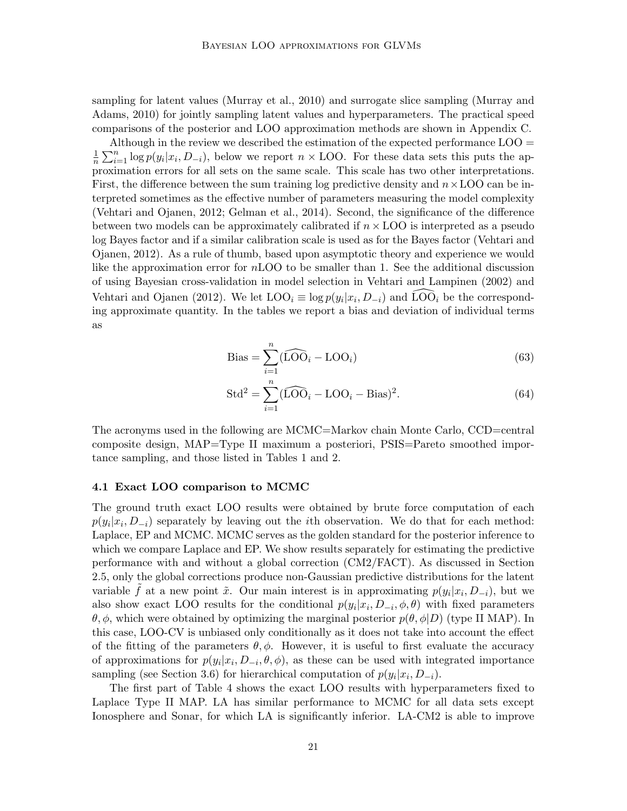sampling for latent values [\(Murray et al.,](#page-36-9) [2010\)](#page-36-9) and surrogate slice sampling [\(Murray and](#page-36-10) [Adams,](#page-36-10) [2010\)](#page-36-10) for jointly sampling latent values and hyperparameters. The practical speed comparisons of the posterior and LOO approximation methods are shown in Appendix [C.](#page-32-0)

Although in the review we described the estimation of the expected performance LOO = 1  $\frac{1}{n}\sum_{i=1}^n \log p(y_i|x_i, D_{-i})$ , below we report  $n \times$  LOO. For these data sets this puts the approximation errors for all sets on the same scale. This scale has two other interpretations. First, the difference between the sum training log predictive density and  $n \times$  LOO can be interpreted sometimes as the effective number of parameters measuring the model complexity [\(Vehtari and Ojanen,](#page-37-0) [2012;](#page-37-0) [Gelman et al.,](#page-34-0) [2014\)](#page-34-0). Second, the significance of the difference between two models can be approximately calibrated if  $n \times$  LOO is interpreted as a pseudo log Bayes factor and if a similar calibration scale is used as for the Bayes factor [\(Vehtari and](#page-37-0) [Ojanen,](#page-37-0) [2012\)](#page-37-0). As a rule of thumb, based upon asymptotic theory and experience we would like the approximation error for  $nLOO$  to be smaller than 1. See the additional discussion of using Bayesian cross-validation in model selection in [Vehtari and Lampinen](#page-37-9) [\(2002\)](#page-37-9) and [Vehtari and Ojanen](#page-37-0) [\(2012\)](#page-37-0). We let  $\text{LOO}_i \equiv \log p(y_i | x_i, D_{-i})$  and  $\widehat{\text{LOO}}_i$  be the corresponding approximate quantity. In the tables we report a bias and deviation of individual terms as

$$
Bias = \sum_{i=1}^{n} (\widehat{LOO}_i - LOO_i)
$$
\n(63)

$$
\text{Std}^2 = \sum_{i=1}^n (\widehat{\text{LOO}}_i - \text{LOO}_i - \text{Bias})^2. \tag{64}
$$

The acronyms used in the following are MCMC=Markov chain Monte Carlo, CCD=central composite design, MAP=Type II maximum a posteriori, PSIS=Pareto smoothed importance sampling, and those listed in Tables [1](#page-8-0) and [2.](#page-10-0)

#### 4.1 Exact LOO comparison to MCMC

The ground truth exact LOO results were obtained by brute force computation of each  $p(y_i|x_i, D_{-i})$  separately by leaving out the *i*th observation. We do that for each method: Laplace, EP and MCMC. MCMC serves as the golden standard for the posterior inference to which we compare Laplace and EP. We show results separately for estimating the predictive performance with and without a global correction (CM2/FACT). As discussed in Section [2.5,](#page-7-1) only the global corrections produce non-Gaussian predictive distributions for the latent variable  $\tilde{f}$  at a new point  $\tilde{x}$ . Our main interest is in approximating  $p(y_i|x_i, D_{-i})$ , but we also show exact LOO results for the conditional  $p(y_i|x_i, D_{-i}, \phi, \theta)$  with fixed parameters θ, φ, which were obtained by optimizing the marginal posterior  $p(\theta, \phi|D)$  (type II MAP). In this case, LOO-CV is unbiased only conditionally as it does not take into account the effect of the fitting of the parameters  $\theta$ ,  $\phi$ . However, it is useful to first evaluate the accuracy of approximations for  $p(y_i|x_i, D_{-i}, \theta, \phi)$ , as these can be used with integrated importance sampling (see Section [3.6\)](#page-13-0) for hierarchical computation of  $p(y_i|x_i, D_{-i})$ .

The first part of Table [4](#page-23-0) shows the exact LOO results with hyperparameters fixed to Laplace Type II MAP. LA has similar performance to MCMC for all data sets except Ionosphere and Sonar, for which LA is significantly inferior. LA-CM2 is able to improve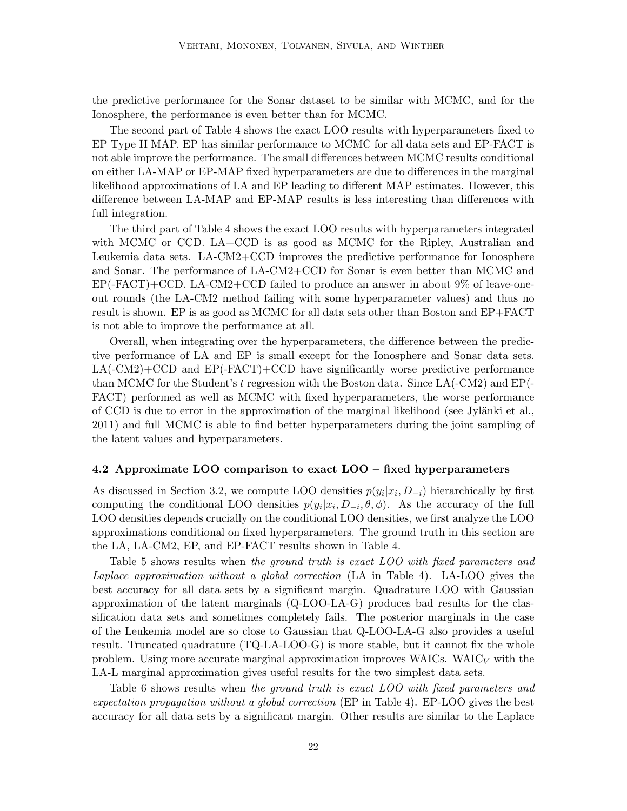the predictive performance for the Sonar dataset to be similar with MCMC, and for the Ionosphere, the performance is even better than for MCMC.

The second part of Table [4](#page-23-0) shows the exact LOO results with hyperparameters fixed to EP Type II MAP. EP has similar performance to MCMC for all data sets and EP-FACT is not able improve the performance. The small differences between MCMC results conditional on either LA-MAP or EP-MAP fixed hyperparameters are due to differences in the marginal likelihood approximations of LA and EP leading to different MAP estimates. However, this difference between LA-MAP and EP-MAP results is less interesting than differences with full integration.

The third part of Table [4](#page-23-0) shows the exact LOO results with hyperparameters integrated with MCMC or CCD. LA+CCD is as good as MCMC for the Ripley, Australian and Leukemia data sets. LA-CM2+CCD improves the predictive performance for Ionosphere and Sonar. The performance of LA-CM2+CCD for Sonar is even better than MCMC and  $EP(-FACT) + CCD. LA-CM2 + CCD$  failed to produce an answer in about 9% of leave-oneout rounds (the LA-CM2 method failing with some hyperparameter values) and thus no result is shown. EP is as good as MCMC for all data sets other than Boston and EP+FACT is not able to improve the performance at all.

Overall, when integrating over the hyperparameters, the difference between the predictive performance of LA and EP is small except for the Ionosphere and Sonar data sets.  $LA(-CM2)+CCD$  and  $EP(-FACT)+CCD$  have significantly worse predictive performance than MCMC for the Student's t regression with the Boston data. Since  $LA(-CM2)$  and  $EP(-$ FACT) performed as well as MCMC with fixed hyperparameters, the worse performance of CCD is due to error in the approximation of the marginal likelihood (see Jylänki et al., [2011\)](#page-35-0) and full MCMC is able to find better hyperparameters during the joint sampling of the latent values and hyperparameters.

#### 4.2 Approximate LOO comparison to exact LOO – fixed hyperparameters

As discussed in Section [3.2,](#page-11-3) we compute LOO densities  $p(y_i|x_i, D_{-i})$  hierarchically by first computing the conditional LOO densities  $p(y_i|x_i, D_{-i}, \theta, \phi)$ . As the accuracy of the full LOO densities depends crucially on the conditional LOO densities, we first analyze the LOO approximations conditional on fixed hyperparameters. The ground truth in this section are the LA, LA-CM2, EP, and EP-FACT results shown in Table [4.](#page-23-0)

Table [5](#page-23-1) shows results when the ground truth is exact LOO with fixed parameters and Laplace approximation without a global correction (LA in Table [4\)](#page-23-0). LA-LOO gives the best accuracy for all data sets by a significant margin. Quadrature LOO with Gaussian approximation of the latent marginals (Q-LOO-LA-G) produces bad results for the classification data sets and sometimes completely fails. The posterior marginals in the case of the Leukemia model are so close to Gaussian that Q-LOO-LA-G also provides a useful result. Truncated quadrature (TQ-LA-LOO-G) is more stable, but it cannot fix the whole problem. Using more accurate marginal approximation improves WAICs. WAIC<sub>V</sub> with the LA-L marginal approximation gives useful results for the two simplest data sets.

Table [6](#page-24-0) shows results when the ground truth is exact LOO with fixed parameters and expectation propagation without a global correction (EP in Table [4\)](#page-23-0). EP-LOO gives the best accuracy for all data sets by a significant margin. Other results are similar to the Laplace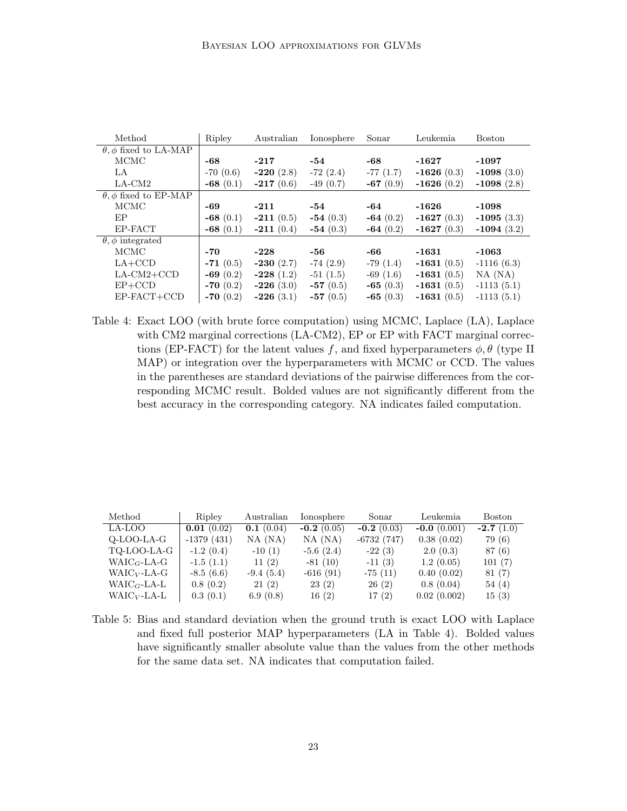| Method                            | Ripley     | Australian  | Ionosphere | Sonar      | Leukemia     | <b>Boston</b> |
|-----------------------------------|------------|-------------|------------|------------|--------------|---------------|
| $\theta$ , $\phi$ fixed to LA-MAP |            |             |            |            |              |               |
| MCMC                              | -68        | $-217$      | -54        | -68        | -1627        | $-1097$       |
| LA                                | $-70(0.6)$ | $-220(2.8)$ | $-72(2.4)$ | $-77(1.7)$ | $-1626(0.3)$ | $-1098(3.0)$  |
| $LA-CM2$                          | $-68(0.1)$ | $-217(0.6)$ | $-49(0.7)$ | $-67(0.9)$ | $-1626(0.2)$ | $-1098(2.8)$  |
| $\theta$ , $\phi$ fixed to EP-MAP |            |             |            |            |              |               |
| MCMC                              | -69        | $-211$      | -54        | -64        | -1626        | -1098         |
| EP.                               | $-68(0.1)$ | $-211(0.5)$ | $-54(0.3)$ | $-64(0.2)$ | $-1627(0.3)$ | $-1095(3.3)$  |
| EP-FACT                           | $-68(0.1)$ | $-211(0.4)$ | $-54(0.3)$ | $-64(0.2)$ | $-1627(0.3)$ | $-1094(3.2)$  |
| $\theta$ , $\phi$ integrated      |            |             |            |            |              |               |
| MCMC                              | -70        | $-228$      | -56        | -66        | -1631        | -1063         |
| $LA+CCD$                          | $-71(0.5)$ | $-230(2.7)$ | $-74(2.9)$ | $-79(1.4)$ | $-1631(0.5)$ | $-1116(6.3)$  |
| $LA-CM2+CCD$                      | $-69(0.2)$ | $-228(1.2)$ | $-51(1.5)$ | $-69(1.6)$ | $-1631(0.5)$ | $NA$ (NA)     |
| $EP+CCD$                          | $-70(0.2)$ | $-226(3.0)$ | $-57(0.5)$ | $-65(0.3)$ | $-1631(0.5)$ | $-1113(5.1)$  |
| $EP-FACT+CCD$                     | $-70(0.2)$ | $-226(3.1)$ | $-57(0.5)$ | $-65(0.3)$ | $-1631(0.5)$ | $-1113(5.1)$  |

<span id="page-23-0"></span>Table 4: Exact LOO (with brute force computation) using MCMC, Laplace (LA), Laplace with CM2 marginal corrections (LA-CM2), EP or EP with FACT marginal corrections (EP-FACT) for the latent values f, and fixed hyperparameters  $\phi$ ,  $\theta$  (type II MAP) or integration over the hyperparameters with MCMC or CCD. The values in the parentheses are standard deviations of the pairwise differences from the corresponding MCMC result. Bolded values are not significantly different from the best accuracy in the corresponding category. NA indicates failed computation.

| Method                                                   | Ripley       | Australian  | Ionosphere   | Sonar        | Leukemia      | <b>Boston</b> |
|----------------------------------------------------------|--------------|-------------|--------------|--------------|---------------|---------------|
| LA-LOO                                                   | 0.01(0.02)   | 0.1(0.04)   | $-0.2(0.05)$ | $-0.2(0.03)$ | $-0.0(0.001)$ | $-2.7(1.0)$   |
| Q-LOO-LA-G                                               | $-1379(431)$ | $NA$ (NA)   | $NA$ (NA)    | $-6732(747)$ | 0.38(0.02)    | 79 (6)        |
| TQ-LOO-LA-G                                              | $-1.2(0.4)$  | $-10(1)$    | $-5.6(2.4)$  | $-22(3)$     | 2.0(0.3)      | 87(6)         |
| $\mathrm{WAIC}_{G}\text{-}\mathrm{LA}\text{-}\mathrm{G}$ | $-1.5(1.1)$  | 11(2)       | $-81(10)$    | $-11(3)$     | 1.2(0.05)     | 101(7)        |
| $\text{WAIC}_V\text{-}\text{LA-G}$                       | $-8.5(6.6)$  | $-9.4(5.4)$ | $-616(91)$   | $-75(11)$    | 0.40(0.02)    | 81(7)         |
| $\mathrm{WAIC}_{G}\text{-}\mathrm{LA}\text{-}\mathrm{L}$ | 0.8(0.2)     | 21(2)       | 23(2)        | 26(2)        | 0.8(0.04)     | 54(4)         |
| $\rm W AIC_{V}$ -LA-L                                    | 0.3(0.1)     | 6.9(0.8)    | 16(2)        | 17(2)        | 0.02(0.002)   | 15(3)         |

<span id="page-23-1"></span>Table 5: Bias and standard deviation when the ground truth is exact LOO with Laplace and fixed full posterior MAP hyperparameters (LA in Table [4\)](#page-23-0). Bolded values have significantly smaller absolute value than the values from the other methods for the same data set. NA indicates that computation failed.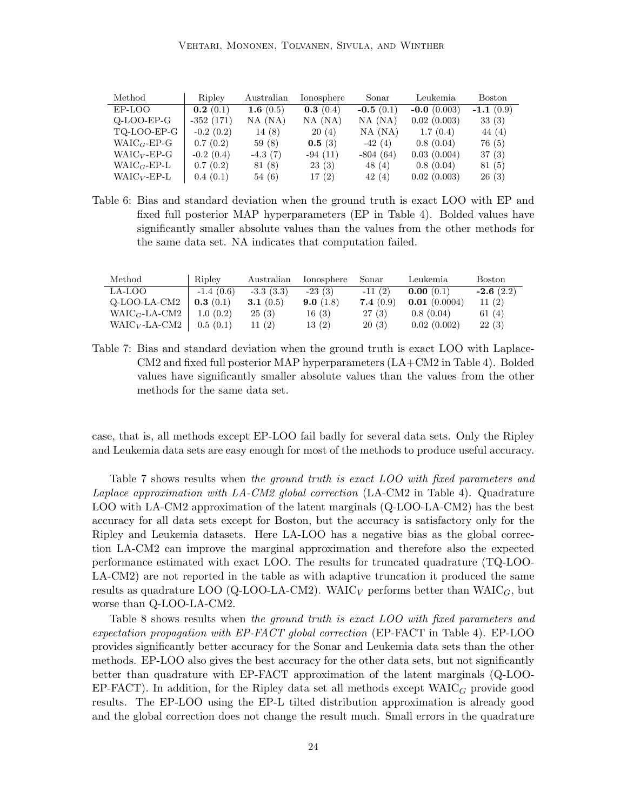| Method          | Ripley      | Australian  | Ionosphere | Sonar       | Leukemia      | <b>Boston</b> |
|-----------------|-------------|-------------|------------|-------------|---------------|---------------|
| EP-LOO          | 0.2(0.1)    | 1.6 $(0.5)$ | 0.3(0.4)   | $-0.5(0.1)$ | $-0.0(0.003)$ | $-1.1(0.9)$   |
| Q-LOO-EP-G      | $-352(171)$ | $NA$ (NA)   | $NA$ (NA)  | $NA$ (NA)   | 0.02(0.003)   | 33(3)         |
| TQ-LOO-EP-G     | $-0.2(0.2)$ | 14(8)       | 20(4)      | $NA$ (NA)   | 1.7(0.4)      | 44 $(4)$      |
| $W AIC_G$ -EP-G | 0.7(0.2)    | 59(8)       | 0.5(3)     | $-42(4)$    | 0.8(0.04)     | 76(5)         |
| $W AIC_V$ -EP-G | $-0.2(0.4)$ | $-4.3(7)$   | $-94(11)$  | $-804(64)$  | 0.03(0.004)   | 37(3)         |
| $W AIC_G$ -EP-L | 0.7(0.2)    | 81 (8)      | 23(3)      | 48(4)       | 0.8(0.04)     | 81 (5)        |
| $WAIC_V$ -EP-L  | 0.4(0.1)    | 54(6)       | 17(2)      | 42(4)       | 0.02(0.003)   | 26(3)         |

<span id="page-24-0"></span>Table 6: Bias and standard deviation when the ground truth is exact LOO with EP and fixed full posterior MAP hyperparameters (EP in Table [4\)](#page-23-0). Bolded values have significantly smaller absolute values than the values from the other methods for the same data set. NA indicates that computation failed.

| Method            | Ripley      | Australian  | Ionosphere         | Sonar       | Leukemia     | <b>Boston</b> |
|-------------------|-------------|-------------|--------------------|-------------|--------------|---------------|
| LA-LOO            | $-1.4(0.6)$ | $-3.3(3.3)$ | $-23(3)$           | $-11(2)$    | 0.00(0.1)    | $-2.6(2.2)$   |
| Q-LOO-LA-CM2      | 0.3(0.1)    | 3.1 $(0.5)$ | <b>9.0</b> $(1.8)$ | 7.4 $(0.9)$ | 0.01(0.0004) | 11(2)         |
| $W AIC_G$ -LA-CM2 | 1.0(0.2)    | 25(3)       | 16(3)              | 27(3)       | 0.8(0.04)    | 61 $(4)$      |
| $WAIC_V$ -LA-CM2  | 0.5(0.1)    | 11(2)       | 13(2)              | 20(3)       | 0.02(0.002)  | 22(3)         |

<span id="page-24-1"></span>Table 7: Bias and standard deviation when the ground truth is exact LOO with Laplace-CM2 and fixed full posterior MAP hyperparameters (LA+CM2 in Table [4\)](#page-23-0). Bolded values have significantly smaller absolute values than the values from the other methods for the same data set.

case, that is, all methods except EP-LOO fail badly for several data sets. Only the Ripley and Leukemia data sets are easy enough for most of the methods to produce useful accuracy.

Table [7](#page-24-1) shows results when the ground truth is exact LOO with fixed parameters and Laplace approximation with LA-CM2 global correction (LA-CM2 in Table [4\)](#page-23-0). Quadrature LOO with LA-CM2 approximation of the latent marginals (Q-LOO-LA-CM2) has the best accuracy for all data sets except for Boston, but the accuracy is satisfactory only for the Ripley and Leukemia datasets. Here LA-LOO has a negative bias as the global correction LA-CM2 can improve the marginal approximation and therefore also the expected performance estimated with exact LOO. The results for truncated quadrature (TQ-LOO-LA-CM2) are not reported in the table as with adaptive truncation it produced the same results as quadrature LOO (Q-LOO-LA-CM2). WAIC<sub>V</sub> performs better than  $W AIC_G$ , but worse than Q-LOO-LA-CM2.

Table [8](#page-25-0) shows results when the ground truth is exact LOO with fixed parameters and expectation propagation with EP-FACT global correction (EP-FACT in Table [4\)](#page-23-0). EP-LOO provides significantly better accuracy for the Sonar and Leukemia data sets than the other methods. EP-LOO also gives the best accuracy for the other data sets, but not significantly better than quadrature with EP-FACT approximation of the latent marginals (Q-LOO-EP-FACT). In addition, for the Ripley data set all methods except  $\text{WAIC}_G$  provide good results. The EP-LOO using the EP-L tilted distribution approximation is already good and the global correction does not change the result much. Small errors in the quadrature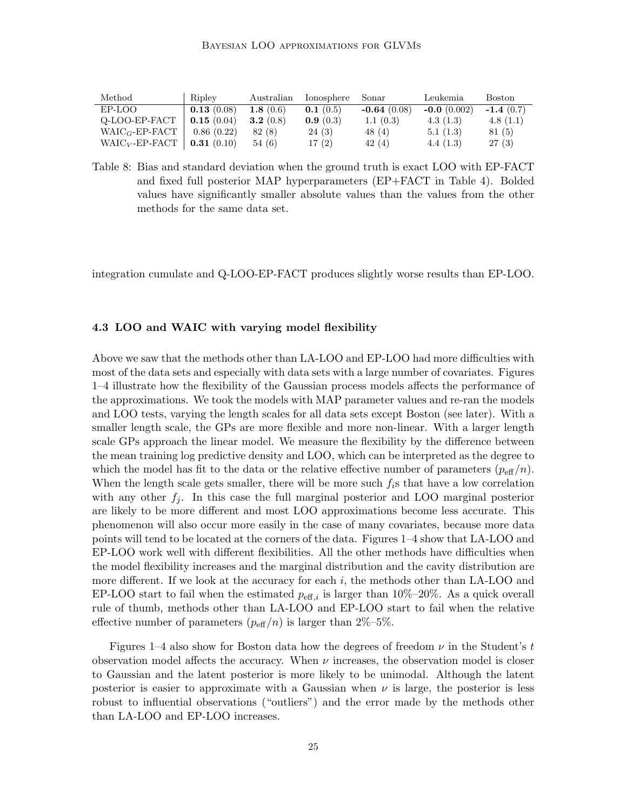| Method             | Ripley              | Australian  | Ionosphere | Sonar         | Leukemia      | <b>Boston</b> |
|--------------------|---------------------|-------------|------------|---------------|---------------|---------------|
| EP-LOO             | $\vert$ 0.13 (0.08) | 1.8 $(0.6)$ | 0.1(0.5)   | $-0.64(0.08)$ | $-0.0(0.002)$ | $-1.4(0.7)$   |
| Q-LOO-EP-FACT      | 0.15(0.04)          | 3.2(0.8)    | 0.9(0.3)   | 1.1(0.3)      | 4.3(1.3)      | 4.8(1.1)      |
| $W AIC_G$ -EP-FACT | 0.86(0.22)          | 82 (8)      | 24(3)      | 48 (4)        | 5.1(1.3)      | 81 (5)        |
| $W AIC_V$ -EP-FACT | $\vert$ 0.31 (0.10) | 54(6)       | 17(2)      | 42(4)         | 4.4(1.3)      | 27(3)         |

<span id="page-25-0"></span>Table 8: Bias and standard deviation when the ground truth is exact LOO with EP-FACT and fixed full posterior MAP hyperparameters (EP+FACT in Table [4\)](#page-23-0). Bolded values have significantly smaller absolute values than the values from the other methods for the same data set.

integration cumulate and Q-LOO-EP-FACT produces slightly worse results than EP-LOO.

# 4.3 LOO and WAIC with varying model flexibility

Above we saw that the methods other than LA-LOO and EP-LOO had more difficulties with most of the data sets and especially with data sets with a large number of covariates. Figures [1](#page-26-0)[–4](#page-27-0) illustrate how the flexibility of the Gaussian process models affects the performance of the approximations. We took the models with MAP parameter values and re-ran the models and LOO tests, varying the length scales for all data sets except Boston (see later). With a smaller length scale, the GPs are more flexible and more non-linear. With a larger length scale GPs approach the linear model. We measure the flexibility by the difference between the mean training log predictive density and LOO, which can be interpreted as the degree to which the model has fit to the data or the relative effective number of parameters  $(p_{\text{eff}}/n)$ . When the length scale gets smaller, there will be more such  $f_i$ s that have a low correlation with any other  $f_i$ . In this case the full marginal posterior and LOO marginal posterior are likely to be more different and most LOO approximations become less accurate. This phenomenon will also occur more easily in the case of many covariates, because more data points will tend to be located at the corners of the data. Figures [1–](#page-26-0)[4](#page-27-0) show that LA-LOO and EP-LOO work well with different flexibilities. All the other methods have difficulties when the model flexibility increases and the marginal distribution and the cavity distribution are more different. If we look at the accuracy for each i, the methods other than LA-LOO and EP-LOO start to fail when the estimated  $p_{\text{eff},i}$  is larger than 10%–20%. As a quick overall rule of thumb, methods other than LA-LOO and EP-LOO start to fail when the relative effective number of parameters  $(p_{\text{eff}}/n)$  is larger than  $2\%$ –5%.

Figures [1–](#page-26-0)[4](#page-27-0) also show for Boston data how the degrees of freedom  $\nu$  in the Student's t observation model affects the accuracy. When  $\nu$  increases, the observation model is closer to Gaussian and the latent posterior is more likely to be unimodal. Although the latent posterior is easier to approximate with a Gaussian when  $\nu$  is large, the posterior is less robust to influential observations ("outliers") and the error made by the methods other than LA-LOO and EP-LOO increases.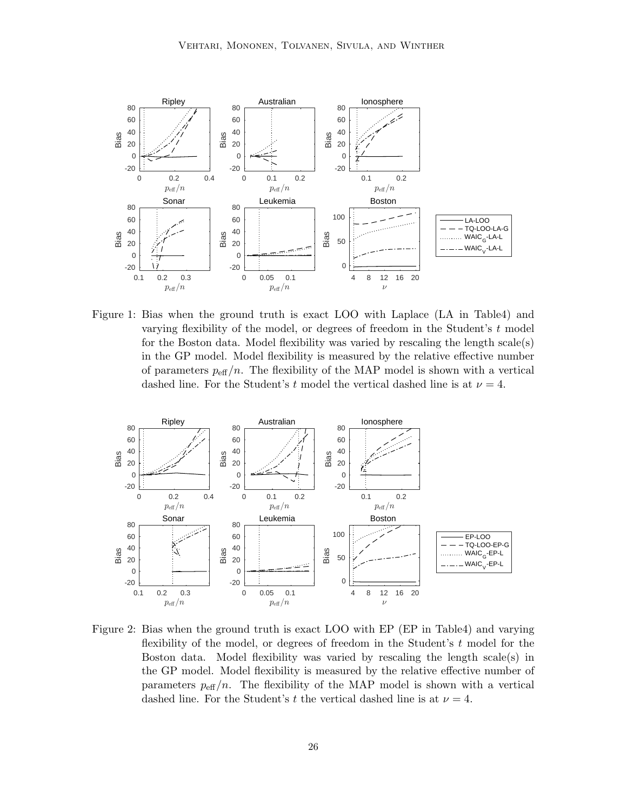

<span id="page-26-0"></span>Figure 1: Bias when the ground truth is exact LOO with Laplace (LA in Tabl[e4\)](#page-23-0) and varying flexibility of the model, or degrees of freedom in the Student's  $t$  model for the Boston data. Model flexibility was varied by rescaling the length scale(s) in the GP model. Model flexibility is measured by the relative effective number of parameters  $p_{\text{eff}}/n$ . The flexibility of the MAP model is shown with a vertical dashed line. For the Student's t model the vertical dashed line is at  $\nu = 4$ .



Figure 2: Bias when the ground truth is exact LOO with EP (EP in Tabl[e4\)](#page-23-0) and varying flexibility of the model, or degrees of freedom in the Student's t model for the Boston data. Model flexibility was varied by rescaling the length scale(s) in the GP model. Model flexibility is measured by the relative effective number of parameters  $p_{\text{eff}}/n$ . The flexibility of the MAP model is shown with a vertical dashed line. For the Student's t the vertical dashed line is at  $\nu = 4$ .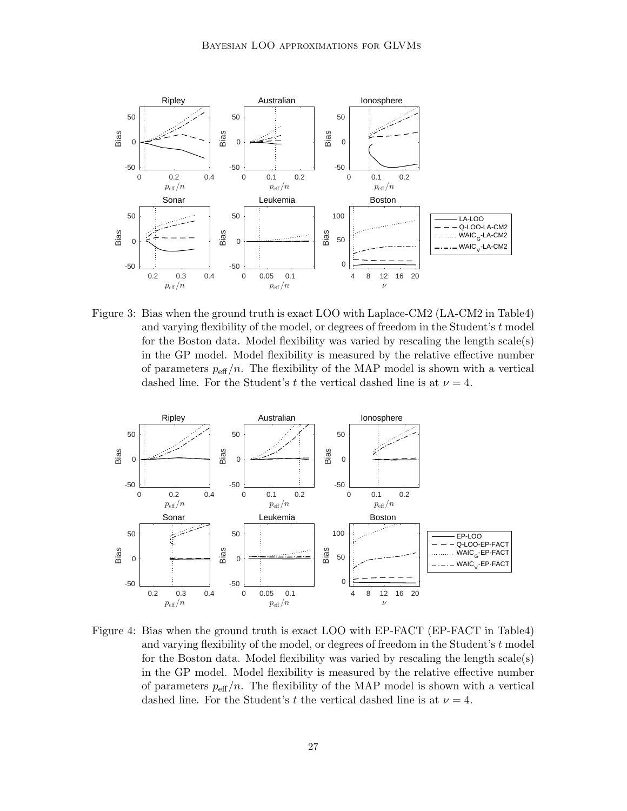

Figure 3: Bias when the ground truth is exact LOO with Laplace-CM2 (LA-CM2 in Tabl[e4\)](#page-23-0) and varying flexibility of the model, or degrees of freedom in the Student's t model for the Boston data. Model flexibility was varied by rescaling the length scale(s) in the GP model. Model flexibility is measured by the relative effective number of parameters  $p_{\text{eff}}/n$ . The flexibility of the MAP model is shown with a vertical dashed line. For the Student's t the vertical dashed line is at  $\nu = 4$ .



<span id="page-27-0"></span>Figure 4: Bias when the ground truth is exact LOO with EP-FACT (EP-FACT in Tabl[e4\)](#page-23-0) and varying flexibility of the model, or degrees of freedom in the Student's  $t$  model for the Boston data. Model flexibility was varied by rescaling the length scale(s) in the GP model. Model flexibility is measured by the relative effective number of parameters  $p_{\text{eff}}/n$ . The flexibility of the MAP model is shown with a vertical dashed line. For the Student's t the vertical dashed line is at  $\nu = 4$ .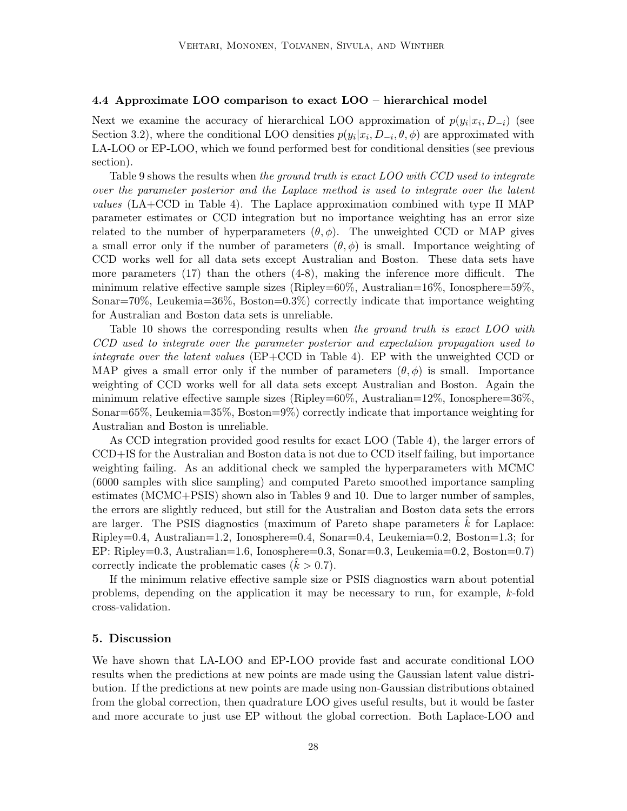## 4.4 Approximate LOO comparison to exact LOO – hierarchical model

Next we examine the accuracy of hierarchical LOO approximation of  $p(y_i|x_i, D_{-i})$  (see Section [3.2\)](#page-11-3), where the conditional LOO densities  $p(y_i|x_i, D_{-i}, \theta, \phi)$  are approximated with LA-LOO or EP-LOO, which we found performed best for conditional densities (see previous section).

Table [9](#page-29-1) shows the results when the ground truth is exact LOO with CCD used to integrate over the parameter posterior and the Laplace method is used to integrate over the latent values (LA+CCD in Table [4\)](#page-23-0). The Laplace approximation combined with type II MAP parameter estimates or CCD integration but no importance weighting has an error size related to the number of hyperparameters  $(\theta, \phi)$ . The unweighted CCD or MAP gives a small error only if the number of parameters  $(\theta, \phi)$  is small. Importance weighting of CCD works well for all data sets except Australian and Boston. These data sets have more parameters (17) than the others (4-8), making the inference more difficult. The minimum relative effective sample sizes (Ripley=60%, Australian=16%, Ionosphere=59%, Sonar=70%, Leukemia=36%, Boston=0.3%) correctly indicate that importance weighting for Australian and Boston data sets is unreliable.

Table [10](#page-29-2) shows the corresponding results when the ground truth is exact LOO with CCD used to integrate over the parameter posterior and expectation propagation used to integrate over the latent values (EP+CCD in Table [4\)](#page-23-0). EP with the unweighted CCD or MAP gives a small error only if the number of parameters  $(\theta, \phi)$  is small. Importance weighting of CCD works well for all data sets except Australian and Boston. Again the minimum relative effective sample sizes (Ripley=60%, Australian=12%, Ionosphere=36%, Sonar=65%, Leukemia=35%, Boston=9%) correctly indicate that importance weighting for Australian and Boston is unreliable.

As CCD integration provided good results for exact LOO (Table [4\)](#page-23-0), the larger errors of CCD+IS for the Australian and Boston data is not due to CCD itself failing, but importance weighting failing. As an additional check we sampled the hyperparameters with MCMC (6000 samples with slice sampling) and computed Pareto smoothed importance sampling estimates (MCMC+PSIS) shown also in Tables [9](#page-29-1) and [10.](#page-29-2) Due to larger number of samples, the errors are slightly reduced, but still for the Australian and Boston data sets the errors are larger. The PSIS diagnostics (maximum of Pareto shape parameters  $k$  for Laplace: Ripley=0.4, Australian=1.2, Ionosphere=0.4, Sonar=0.4, Leukemia=0.2, Boston=1.3; for EP: Ripley=0.3, Australian=1.6, Ionosphere=0.3, Sonar=0.3, Leukemia=0.2, Boston=0.7) correctly indicate the problematic cases  $(k > 0.7)$ .

If the minimum relative effective sample size or PSIS diagnostics warn about potential problems, depending on the application it may be necessary to run, for example, k-fold cross-validation.

## 5. Discussion

We have shown that LA-LOO and EP-LOO provide fast and accurate conditional LOO results when the predictions at new points are made using the Gaussian latent value distribution. If the predictions at new points are made using non-Gaussian distributions obtained from the global correction, then quadrature LOO gives useful results, but it would be faster and more accurate to just use EP without the global correction. Both Laplace-LOO and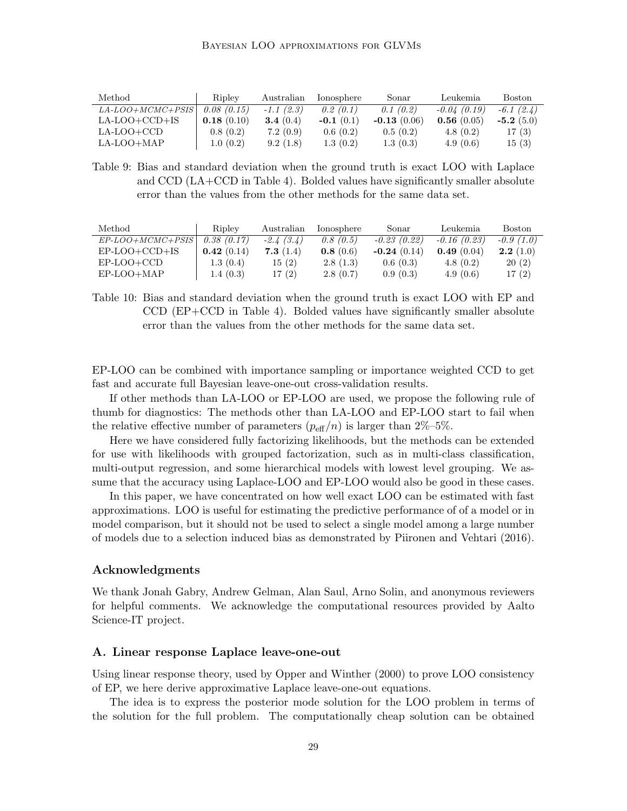| Method                                  | Ripley     | Australian  | Ionosphere  | Sonar         | Leukemia      | <b>Boston</b> |
|-----------------------------------------|------------|-------------|-------------|---------------|---------------|---------------|
| $LA\text{-}LOO\text{+}MCMC\text{+}PSIS$ | 0.08(0.15) | $-1.1(2.3)$ | 0.2(0.1)    | 0.1(0.2)      | $-0.04(0.19)$ | $-6.1(2.4)$   |
| $LA-LOO+CCD+IS$                         | 0.18(0.10) | 3.4 $(0.4)$ | $-0.1(0.1)$ | $-0.13(0.06)$ | 0.56(0.05)    | $-5.2(5.0)$   |
| LA-LOO+CCD                              | 0.8(0.2)   | 7.2(0.9)    | 0.6(0.2)    | 0.5(0.2)      | 4.8(0.2)      | 17(3)         |
| LA-LOO+MAP                              | 1.0(0.2)   | 9.2(1.8)    | 1.3(0.2)    | 1.3(0.3)      | 4.9(0.6)      | 15(3)         |

<span id="page-29-1"></span>Table 9: Bias and standard deviation when the ground truth is exact LOO with Laplace and CCD (LA+CCD in Table [4\)](#page-23-0). Bolded values have significantly smaller absolute error than the values from the other methods for the same data set.

| Method                                  | Ripley     | Australian  | Ionosphere | Sonar         | Leukemia.     | <b>Boston</b> |
|-----------------------------------------|------------|-------------|------------|---------------|---------------|---------------|
| $EP\text{-}LOO\text{+}MCMC\text{+}PSIS$ | 0.38(0.17) | $-2.4(3.4)$ | 0.8(0.5)   | $-0.23(0.22)$ | $-0.16(0.23)$ | $-0.9(1.0)$   |
| $EP-LOO+CCD+IS$                         | 0.42(0.14) | 7.3 $(1.4)$ | 0.8(0.6)   | $-0.24(0.14)$ | 0.49(0.04)    | 2.2(1.0)      |
| EP-LOO+CCD                              | 1.3(0.4)   | 15(2)       | 2.8(1.3)   | 0.6(0.3)      | 4.8(0.2)      | 20(2)         |
| EP-LOO+MAP                              | 1.4(0.3)   | 17(2)       | 2.8(0.7)   | 0.9(0.3)      | 4.9(0.6)      | 17(2)         |

<span id="page-29-2"></span>Table 10: Bias and standard deviation when the ground truth is exact LOO with EP and CCD (EP+CCD in Table [4\)](#page-23-0). Bolded values have significantly smaller absolute error than the values from the other methods for the same data set.

EP-LOO can be combined with importance sampling or importance weighted CCD to get fast and accurate full Bayesian leave-one-out cross-validation results.

If other methods than LA-LOO or EP-LOO are used, we propose the following rule of thumb for diagnostics: The methods other than LA-LOO and EP-LOO start to fail when the relative effective number of parameters  $(p_{\text{eff}}/n)$  is larger than  $2\%-5\%$ .

Here we have considered fully factorizing likelihoods, but the methods can be extended for use with likelihoods with grouped factorization, such as in multi-class classification, multi-output regression, and some hierarchical models with lowest level grouping. We assume that the accuracy using Laplace-LOO and EP-LOO would also be good in these cases.

In this paper, we have concentrated on how well exact LOO can be estimated with fast approximations. LOO is useful for estimating the predictive performance of of a model or in model comparison, but it should not be used to select a single model among a large number of models due to a selection induced bias as demonstrated by [Piironen and Vehtari](#page-36-11) [\(2016\)](#page-36-11).

## Acknowledgments

We thank Jonah Gabry, Andrew Gelman, Alan Saul, Arno Solin, and anonymous reviewers for helpful comments. We acknowledge the computational resources provided by Aalto Science-IT project.

## <span id="page-29-0"></span>A. Linear response Laplace leave-one-out

Using linear response theory, used by [Opper and Winther](#page-36-7) [\(2000\)](#page-36-7) to prove LOO consistency of EP, we here derive approximative Laplace leave-one-out equations.

The idea is to express the posterior mode solution for the LOO problem in terms of the solution for the full problem. The computationally cheap solution can be obtained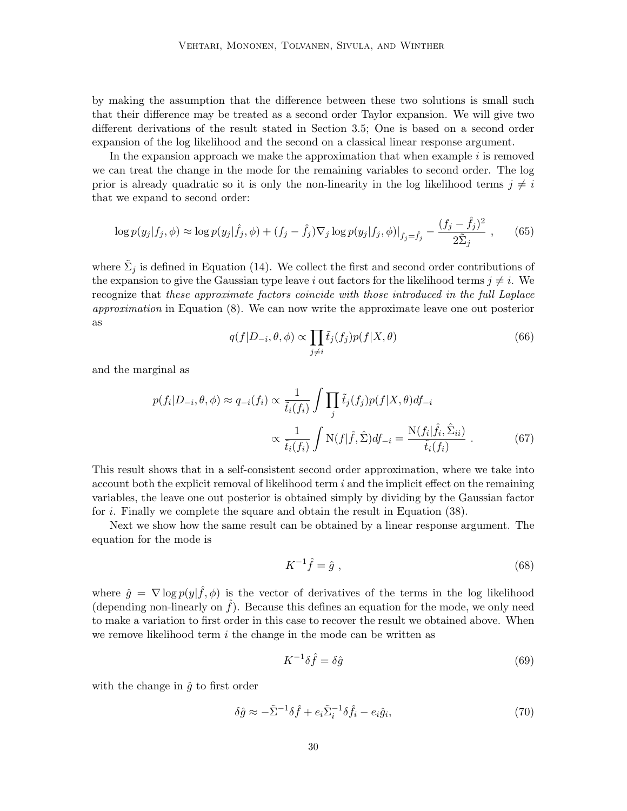by making the assumption that the difference between these two solutions is small such that their difference may be treated as a second order Taylor expansion. We will give two different derivations of the result stated in Section [3.5;](#page-12-0) One is based on a second order expansion of the log likelihood and the second on a classical linear response argument.

In the expansion approach we make the approximation that when example  $i$  is removed we can treat the change in the mode for the remaining variables to second order. The log prior is already quadratic so it is only the non-linearity in the log likelihood terms  $j \neq i$ that we expand to second order:

$$
\log p(y_j|f_j, \phi) \approx \log p(y_j|\hat{f}_j, \phi) + (f_j - \hat{f}_j) \nabla_j \log p(y_j|f_j, \phi)|_{f_j = \hat{f}_j} - \frac{(f_j - \hat{f}_j)^2}{2\tilde{\Sigma}_j} ,\qquad(65)
$$

where  $\tilde{\Sigma}_j$  is defined in Equation [\(14\)](#page-6-2). We collect the first and second order contributions of the expansion to give the Gaussian type leave i out factors for the likelihood terms  $j \neq i$ . We recognize that these approximate factors coincide with those introduced in the full Laplace approximation in Equation [\(8\)](#page-5-0). We can now write the approximate leave one out posterior as

$$
q(f|D_{-i}, \theta, \phi) \propto \prod_{j \neq i} \tilde{t}_j(f_j) p(f|X, \theta)
$$
\n(66)

and the marginal as

$$
p(f_i|D_{-i}, \theta, \phi) \approx q_{-i}(f_i) \propto \frac{1}{\tilde{t}_i(f_i)} \int \prod_j \tilde{t}_j(f_j)p(f|X, \theta) df_{-i}
$$

$$
\propto \frac{1}{\tilde{t}_i(f_i)} \int N(f|\hat{f}, \hat{\Sigma}) df_{-i} = \frac{N(f_i|\hat{f}_i, \hat{\Sigma}_{ii})}{\tilde{t}_i(f_i)} . \tag{67}
$$

This result shows that in a self-consistent second order approximation, where we take into account both the explicit removal of likelihood term  $i$  and the implicit effect on the remaining variables, the leave one out posterior is obtained simply by dividing by the Gaussian factor for i. Finally we complete the square and obtain the result in Equation [\(38\)](#page-13-3).

Next we show how the same result can be obtained by a linear response argument. The equation for the mode is

$$
K^{-1}\hat{f} = \hat{g} \tag{68}
$$

where  $\hat{g} = \nabla \log p(y|\hat{f}, \phi)$  is the vector of derivatives of the terms in the log likelihood (depending non-linearly on  $f$ ). Because this defines an equation for the mode, we only need to make a variation to first order in this case to recover the result we obtained above. When we remove likelihood term  $i$  the change in the mode can be written as

$$
K^{-1}\delta\hat{f} = \delta\hat{g} \tag{69}
$$

with the change in  $\hat{g}$  to first order

$$
\delta \hat{g} \approx -\tilde{\Sigma}^{-1} \delta \hat{f} + e_i \tilde{\Sigma}_i^{-1} \delta \hat{f}_i - e_i \hat{g}_i,\tag{70}
$$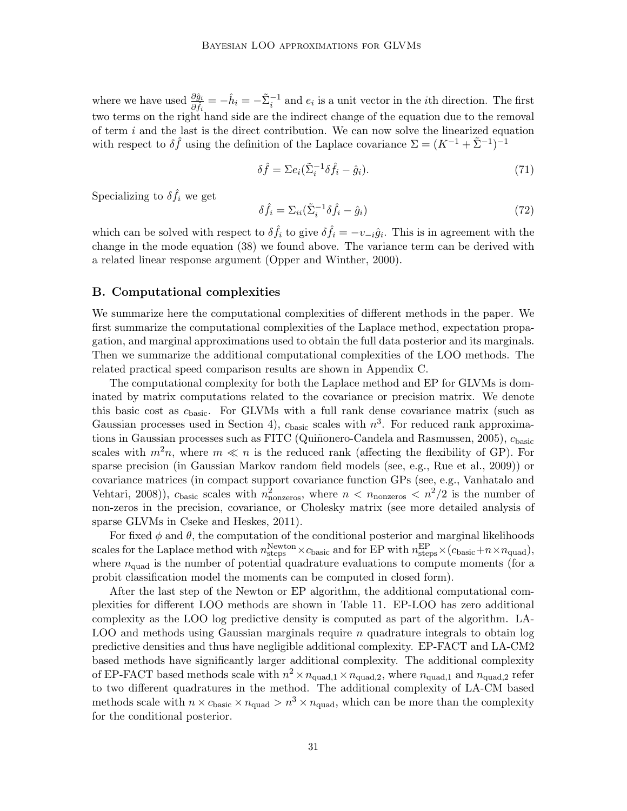where we have used  $\frac{\partial \hat{g}_i}{\partial \hat{f}_i} = -\hat{h}_i = -\tilde{\Sigma}_i^{-1}$  and  $e_i$  is a unit vector in the *i*th direction. The first two terms on the right hand side are the indirect change of the equation due to the removal of term  $i$  and the last is the direct contribution. We can now solve the linearized equation with respect to  $\delta \hat{f}$  using the definition of the Laplace covariance  $\Sigma = (K^{-1} + \tilde{\Sigma}^{-1})^{-1}$ 

$$
\delta \hat{f} = \Sigma e_i (\tilde{\Sigma}_i^{-1} \delta \hat{f}_i - \hat{g}_i). \tag{71}
$$

Specializing to  $\delta \hat{f}_i$  we get

$$
\delta \hat{f}_i = \Sigma_{ii} (\tilde{\Sigma}_i^{-1} \delta \hat{f}_i - \hat{g}_i)
$$
\n(72)

which can be solved with respect to  $\delta \hat{f}_i$  to give  $\delta \hat{f}_i = -v_{-i}\hat{g}_i$ . This is in agreement with the change in the mode equation [\(38\)](#page-13-3) we found above. The variance term can be derived with a related linear response argument [\(Opper and Winther,](#page-36-7) [2000\)](#page-36-7).

# <span id="page-31-0"></span>B. Computational complexities

We summarize here the computational complexities of different methods in the paper. We first summarize the computational complexities of the Laplace method, expectation propagation, and marginal approximations used to obtain the full data posterior and its marginals. Then we summarize the additional computational complexities of the LOO methods. The related practical speed comparison results are shown in Appendix [C.](#page-32-0)

The computational complexity for both the Laplace method and EP for GLVMs is dominated by matrix computations related to the covariance or precision matrix. We denote this basic cost as  $c_{\text{basic}}$ . For GLVMs with a full rank dense covariance matrix (such as Gaussian processes used in Section [4\)](#page-20-0),  $c_{\text{basic}}$  scales with  $n^3$ . For reduced rank approxima-tions in Gaussian processes such as FITC (Quiñonero-Candela and Rasmussen, [2005\)](#page-36-12),  $c_{\text{basic}}$ scales with  $m^2n$ , where  $m \ll n$  is the reduced rank (affecting the flexibility of GP). For sparse precision (in Gaussian Markov random field models (see, e.g., [Rue et al.,](#page-36-5) [2009\)](#page-36-5)) or covariance matrices (in compact support covariance function GPs (see, e.g., [Vanhatalo and](#page-37-12) [Vehtari,](#page-37-12) [2008\)](#page-37-12)),  $c_{\text{basic}}$  scales with  $n_{\text{nonzeros}}^2$ , where  $n < n_{\text{nonzeros}} < n^2/2$  is the number of non-zeros in the precision, covariance, or Cholesky matrix (see more detailed analysis of sparse GLVMs in [Cseke and Heskes,](#page-34-6) [2011\)](#page-34-6).

For fixed  $\phi$  and  $\theta$ , the computation of the conditional posterior and marginal likelihoods scales for the Laplace method with  $n_{\text{steps}}^{\text{Newton}} \times c_{\text{basic}}$  and for EP with  $n_{\text{steps}}^{\text{EP}} \times (c_{\text{basic}} + n \times n_{\text{quad}})$ , where  $n_{\text{quad}}$  is the number of potential quadrature evaluations to compute moments (for a probit classification model the moments can be computed in closed form).

After the last step of the Newton or EP algorithm, the additional computational complexities for different LOO methods are shown in Table [11.](#page-32-1) EP-LOO has zero additional complexity as the LOO log predictive density is computed as part of the algorithm. LA-LOO and methods using Gaussian marginals require  $n$  quadrature integrals to obtain log predictive densities and thus have negligible additional complexity. EP-FACT and LA-CM2 based methods have significantly larger additional complexity. The additional complexity of EP-FACT based methods scale with  $n^2 \times n_{\text{quad},1} \times n_{\text{quad},2}$ , where  $n_{\text{quad},1}$  and  $n_{\text{quad},2}$  refer to two different quadratures in the method. The additional complexity of LA-CM based methods scale with  $n \times c_{\text{basic}} \times n_{\text{quad}} > n^3 \times n_{\text{quad}}$ , which can be more than the complexity for the conditional posterior.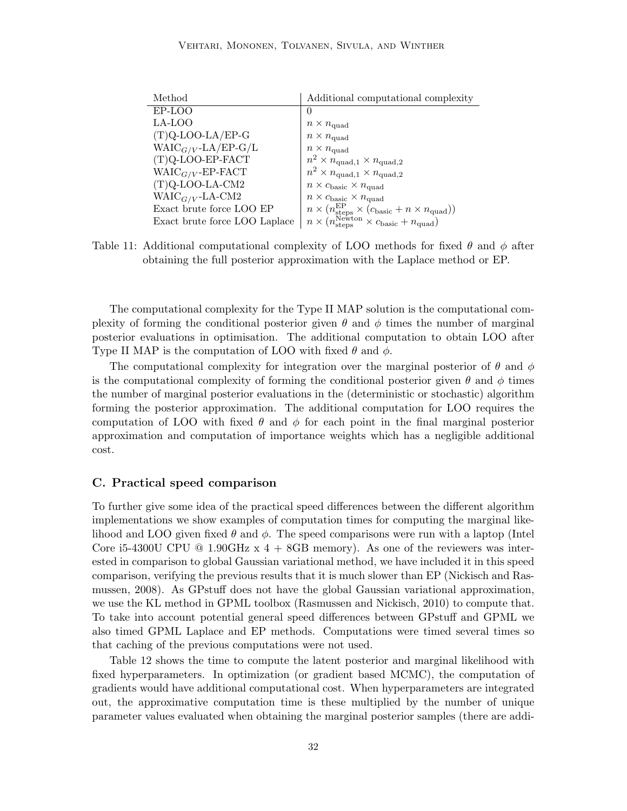| Method                        | Additional computational complexity                                                            |
|-------------------------------|------------------------------------------------------------------------------------------------|
| EP-LOO                        | 0                                                                                              |
| LA-LOO                        | $n \times n_{\text{quad}}$                                                                     |
| $(T)Q$ -LOO-LA/EP-G           | $n \times n_{\text{quad}}$                                                                     |
| $WAIC_{G/V}$ -LA/EP-G/L       | $n \times n_{\rm quad}$                                                                        |
| $(T)Q-LOO-EP-FACT$            | $n^2 \times n_{\text{quad},1} \times n_{\text{quad},2}$                                        |
| $WAIC_{G/V}$ -EP-FACT         | $n^2 \times n_{\text{quad},1} \times n_{\text{quad},2}$                                        |
| $(T)Q$ -LOO-LA-CM2            | $n \times c_{\text{basic}} \times n_{\text{quad}}$                                             |
| $WAIC_{G/V}$ -LA-CM2          | $n \times c_{\text{basic}} \times n_{\text{quad}}$                                             |
| Exact brute force LOO EP      | $n \times (n_{\text{steps}}^{\text{EP}} \times (c_{\text{basic}} + n \times n_{\text{quad}}))$ |
| Exact brute force LOO Laplace | $n \times (n_{\text{steps}}^{\text{Newton}} \times c_{\text{basic}} + n_{\text{quad}})$        |

<span id="page-32-1"></span>Table 11: Additional computational complexity of LOO methods for fixed  $\theta$  and  $\phi$  after obtaining the full posterior approximation with the Laplace method or EP.

The computational complexity for the Type II MAP solution is the computational complexity of forming the conditional posterior given  $\theta$  and  $\phi$  times the number of marginal posterior evaluations in optimisation. The additional computation to obtain LOO after Type II MAP is the computation of LOO with fixed  $\theta$  and  $\phi$ .

The computational complexity for integration over the marginal posterior of  $\theta$  and  $\phi$ is the computational complexity of forming the conditional posterior given  $\theta$  and  $\phi$  times the number of marginal posterior evaluations in the (deterministic or stochastic) algorithm forming the posterior approximation. The additional computation for LOO requires the computation of LOO with fixed  $\theta$  and  $\phi$  for each point in the final marginal posterior approximation and computation of importance weights which has a negligible additional cost.

# <span id="page-32-0"></span>C. Practical speed comparison

To further give some idea of the practical speed differences between the different algorithm implementations we show examples of computation times for computing the marginal likelihood and LOO given fixed  $\theta$  and  $\phi$ . The speed comparisons were run with a laptop (Intel Core i5-4300U CPU  $@$  1.90GHz x 4 + 8GB memory). As one of the reviewers was interested in comparison to global Gaussian variational method, we have included it in this speed comparison, verifying the previous results that it is much slower than EP [\(Nickisch and Ras](#page-36-0)[mussen,](#page-36-0) [2008\)](#page-36-0). As GPstuff does not have the global Gaussian variational approximation, we use the KL method in GPML toolbox [\(Rasmussen and Nickisch,](#page-36-13) [2010\)](#page-36-13) to compute that. To take into account potential general speed differences between GPstuff and GPML we also timed GPML Laplace and EP methods. Computations were timed several times so that caching of the previous computations were not used.

Table [12](#page-33-0) shows the time to compute the latent posterior and marginal likelihood with fixed hyperparameters. In optimization (or gradient based MCMC), the computation of gradients would have additional computational cost. When hyperparameters are integrated out, the approximative computation time is these multiplied by the number of unique parameter values evaluated when obtaining the marginal posterior samples (there are addi-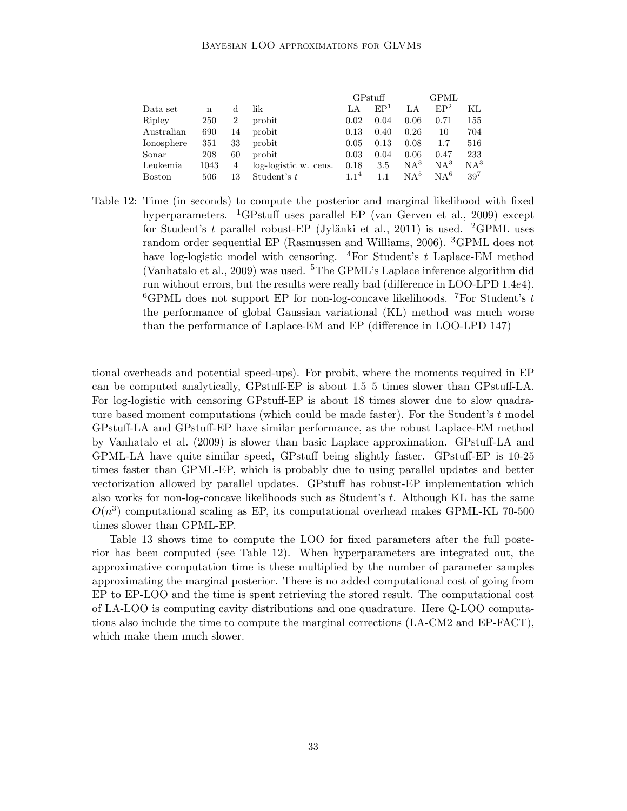#### Bayesian LOO approximations for GLVMs

|               |      |                |                       |                  | GPstuff         |                 | GPML                    |          |
|---------------|------|----------------|-----------------------|------------------|-----------------|-----------------|-------------------------|----------|
| Data set      | n    |                | lik                   | LA               | EP <sup>1</sup> |                 | EP <sup>2</sup>         | KL       |
| Ripley        | 250  | $\overline{2}$ | probit                | 0.02             | 0.04            | 0.06            | 0.71                    | 155      |
| Australian    | 690  | 14             | probit                | 0.13             | 0.40            | 0.26            | 10                      | 704      |
| Ionosphere    | 351  | 33             | probit                | 0.05             | 0.13            | 0.08            | 1.7                     | 516      |
| Sonar         | 208  | 60             | probit                | 0.03             | 0.04            | 0.06            | 0.47                    | 233      |
| Leukemia      | 1043 | 4              | log-logistic w. cens. | 0.18             | 3.5             | NA <sup>3</sup> | NA <sup>3</sup>         | $NA^3$   |
| <b>Boston</b> | 506  | 13             | Student's t           | 1.1 <sup>4</sup> |                 | NА5             | $N\,\mathrm{A}\,{}^{6}$ | $39^{7}$ |

<span id="page-33-0"></span>Table 12: Time (in seconds) to compute the posterior and marginal likelihood with fixed hyperparameters. <sup>1</sup>GPstuff uses parallel EP [\(van Gerven et al.,](#page-37-13) [2009\)](#page-37-13) except for Student's t parallel robust-EP (Jylänki et al., [2011\)](#page-35-0) is used. <sup>2</sup>GPML uses random order sequential EP [\(Rasmussen and Williams,](#page-36-4) [2006\)](#page-36-4). <sup>3</sup>GPML does not have log-logistic model with censoring.  ${}^{4}$  For Student's t Laplace-EM method [\(Vanhatalo et al.,](#page-37-11) [2009\)](#page-37-11) was used. <sup>5</sup>The GPML's Laplace inference algorithm did run without errors, but the results were really bad (difference in LOO-LPD 1.4e4). <sup>6</sup>GPML does not support EP for non-log-concave likelihoods. <sup>7</sup>For Student's t the performance of global Gaussian variational (KL) method was much worse than the performance of Laplace-EM and EP (difference in LOO-LPD 147)

tional overheads and potential speed-ups). For probit, where the moments required in EP can be computed analytically, GPstuff-EP is about 1.5–5 times slower than GPstuff-LA. For log-logistic with censoring GPstuff-EP is about 18 times slower due to slow quadrature based moment computations (which could be made faster). For the Student's t model GPstuff-LA and GPstuff-EP have similar performance, as the robust Laplace-EM method by [Vanhatalo et al.](#page-37-11) [\(2009\)](#page-37-11) is slower than basic Laplace approximation. GPstuff-LA and GPML-LA have quite similar speed, GPstuff being slightly faster. GPstuff-EP is 10-25 times faster than GPML-EP, which is probably due to using parallel updates and better vectorization allowed by parallel updates. GPstuff has robust-EP implementation which also works for non-log-concave likelihoods such as Student's  $t$ . Although KL has the same  $O(n^3)$  computational scaling as EP, its computational overhead makes GPML-KL 70-500 times slower than GPML-EP.

Table [13](#page-34-11) shows time to compute the LOO for fixed parameters after the full posterior has been computed (see Table [12\)](#page-33-0). When hyperparameters are integrated out, the approximative computation time is these multiplied by the number of parameter samples approximating the marginal posterior. There is no added computational cost of going from EP to EP-LOO and the time is spent retrieving the stored result. The computational cost of LA-LOO is computing cavity distributions and one quadrature. Here Q-LOO computations also include the time to compute the marginal corrections (LA-CM2 and EP-FACT), which make them much slower.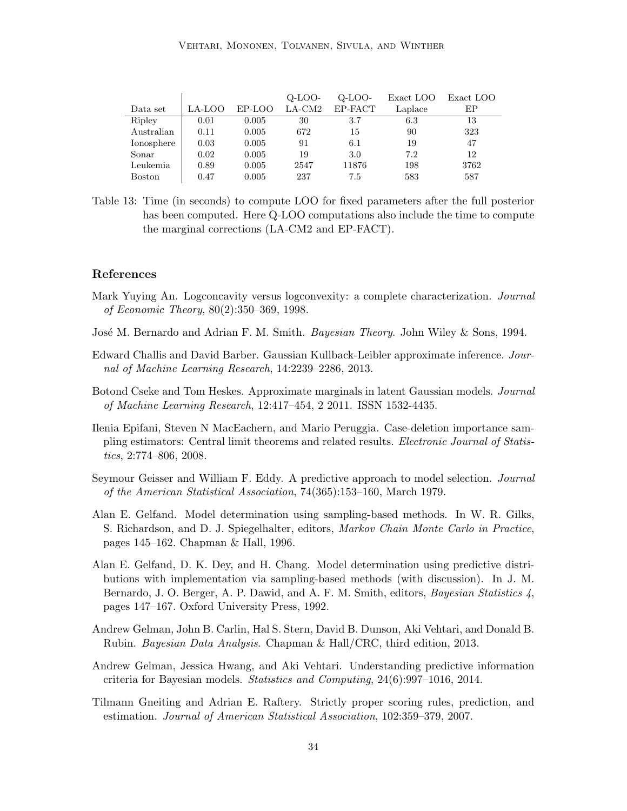|               |        |        | Q-LOO-   | Q-LOO-  | Exact LOO | Exact LOO |
|---------------|--------|--------|----------|---------|-----------|-----------|
| Data set      | LA-LOO | EP-LOO | $LA-CM2$ | EP-FACT | Laplace   | EP        |
| Ripley        | 0.01   | 0.005  | 30       | 3.7     | 6.3       | 13        |
| Australian    | 0.11   | 0.005  | 672      | 15      | 90        | 323       |
| Ionosphere    | 0.03   | 0.005  | 91       | 6.1     | 19        | 47        |
| Sonar         | 0.02   | 0.005  | 19       | 3.0     | 7.2       | 12        |
| Leukemia      | 0.89   | 0.005  | 2547     | 11876   | 198       | 3762      |
| <b>Boston</b> | 0.47   | 0.005  | 237      | 7.5     | 583       | 587       |

<span id="page-34-11"></span>Table 13: Time (in seconds) to compute LOO for fixed parameters after the full posterior has been computed. Here Q-LOO computations also include the time to compute the marginal corrections (LA-CM2 and EP-FACT).

# References

- <span id="page-34-10"></span>Mark Yuying An. Logconcavity versus logconvexity: a complete characterization. *Journal* of Economic Theory, 80(2):350–369, 1998.
- <span id="page-34-3"></span>José M. Bernardo and Adrian F. M. Smith. Bayesian Theory. John Wiley & Sons, 1994.
- <span id="page-34-1"></span>Edward Challis and David Barber. Gaussian Kullback-Leibler approximate inference. Journal of Machine Learning Research, 14:2239–2286, 2013.
- <span id="page-34-6"></span>Botond Cseke and Tom Heskes. Approximate marginals in latent Gaussian models. Journal of Machine Learning Research, 12:417–454, 2 2011. ISSN 1532-4435.
- <span id="page-34-9"></span>Ilenia Epifani, Steven N MacEachern, and Mario Peruggia. Case-deletion importance sampling estimators: Central limit theorems and related results. Electronic Journal of Statistics, 2:774–806, 2008.
- <span id="page-34-2"></span>Seymour Geisser and William F. Eddy. A predictive approach to model selection. Journal of the American Statistical Association, 74(365):153–160, March 1979.
- <span id="page-34-5"></span>Alan E. Gelfand. Model determination using sampling-based methods. In W. R. Gilks, S. Richardson, and D. J. Spiegelhalter, editors, Markov Chain Monte Carlo in Practice, pages 145–162. Chapman & Hall, 1996.
- <span id="page-34-8"></span>Alan E. Gelfand, D. K. Dey, and H. Chang. Model determination using predictive distributions with implementation via sampling-based methods (with discussion). In J. M. Bernardo, J. O. Berger, A. P. Dawid, and A. F. M. Smith, editors, *Bayesian Statistics* 4, pages 147–167. Oxford University Press, 1992.
- <span id="page-34-7"></span>Andrew Gelman, John B. Carlin, Hal S. Stern, David B. Dunson, Aki Vehtari, and Donald B. Rubin. Bayesian Data Analysis. Chapman & Hall/CRC, third edition, 2013.
- <span id="page-34-0"></span>Andrew Gelman, Jessica Hwang, and Aki Vehtari. Understanding predictive information criteria for Bayesian models. Statistics and Computing, 24(6):997–1016, 2014.
- <span id="page-34-4"></span>Tilmann Gneiting and Adrian E. Raftery. Strictly proper scoring rules, prediction, and estimation. Journal of American Statistical Association, 102:359–379, 2007.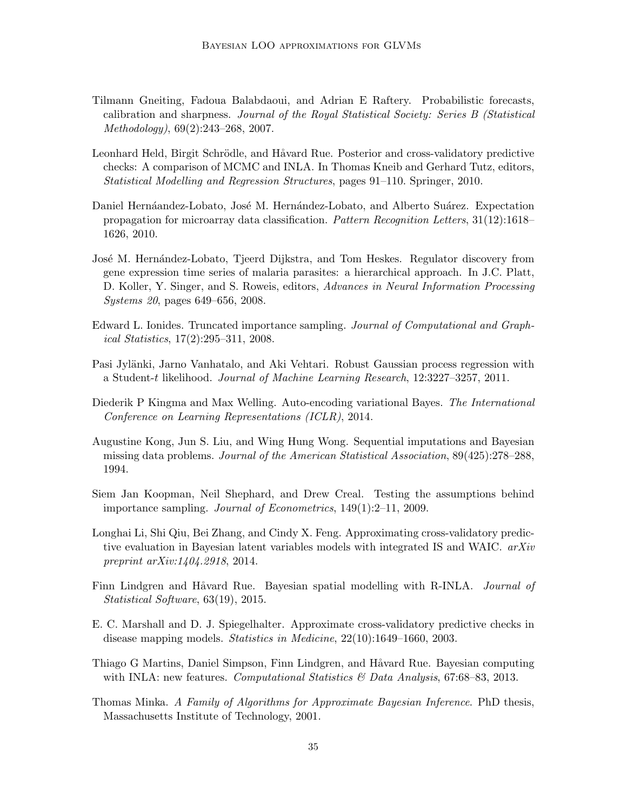- <span id="page-35-5"></span>Tilmann Gneiting, Fadoua Balabdaoui, and Adrian E Raftery. Probabilistic forecasts, calibration and sharpness. Journal of the Royal Statistical Society: Series B (Statistical Methodology), 69(2):243–268, 2007.
- <span id="page-35-9"></span>Leonhard Held, Birgit Schrödle, and Håvard Rue. Posterior and cross-validatory predictive checks: A comparison of MCMC and INLA. In Thomas Kneib and Gerhard Tutz, editors, Statistical Modelling and Regression Structures, pages 91–110. Springer, 2010.
- <span id="page-35-4"></span>Daniel Hernáandez-Lobato, José M. Hernández-Lobato, and Alberto Suárez. Expectation propagation for microarray data classification. Pattern Recognition Letters, 31(12):1618– 1626, 2010.
- <span id="page-35-3"></span>José M. Hernández-Lobato, Tjeerd Dijkstra, and Tom Heskes. Regulator discovery from gene expression time series of malaria parasites: a hierarchical approach. In J.C. Platt, D. Koller, Y. Singer, and S. Roweis, editors, Advances in Neural Information Processing Systems 20, pages 649–656, 2008.
- <span id="page-35-12"></span>Edward L. Ionides. Truncated importance sampling. Journal of Computational and Graphical Statistics, 17(2):295–311, 2008.
- <span id="page-35-0"></span>Pasi Jylänki, Jarno Vanhatalo, and Aki Vehtari. Robust Gaussian process regression with a Student-t likelihood. Journal of Machine Learning Research, 12:3227–3257, 2011.
- <span id="page-35-1"></span>Diederik P Kingma and Max Welling. Auto-encoding variational Bayes. The International Conference on Learning Representations (ICLR), 2014.
- <span id="page-35-13"></span>Augustine Kong, Jun S. Liu, and Wing Hung Wong. Sequential imputations and Bayesian missing data problems. Journal of the American Statistical Association, 89(425):278–288, 1994.
- <span id="page-35-11"></span>Siem Jan Koopman, Neil Shephard, and Drew Creal. Testing the assumptions behind importance sampling. Journal of Econometrics, 149(1):2–11, 2009.
- <span id="page-35-10"></span>Longhai Li, Shi Qiu, Bei Zhang, and Cindy X. Feng. Approximating cross-validatory predictive evaluation in Bayesian latent variables models with integrated IS and WAIC.  $arXiv$ preprint arXiv:1404.2918, 2014.
- <span id="page-35-2"></span>Finn Lindgren and Håvard Rue. Bayesian spatial modelling with R-INLA. Journal of Statistical Software, 63(19), 2015.
- <span id="page-35-8"></span>E. C. Marshall and D. J. Spiegelhalter. Approximate cross-validatory predictive checks in disease mapping models. Statistics in Medicine, 22(10):1649–1660, 2003.
- <span id="page-35-6"></span>Thiago G Martins, Daniel Simpson, Finn Lindgren, and Håvard Rue. Bayesian computing with INLA: new features. Computational Statistics & Data Analysis, 67:68–83, 2013.
- <span id="page-35-7"></span>Thomas Minka. A Family of Algorithms for Approximate Bayesian Inference. PhD thesis, Massachusetts Institute of Technology, 2001.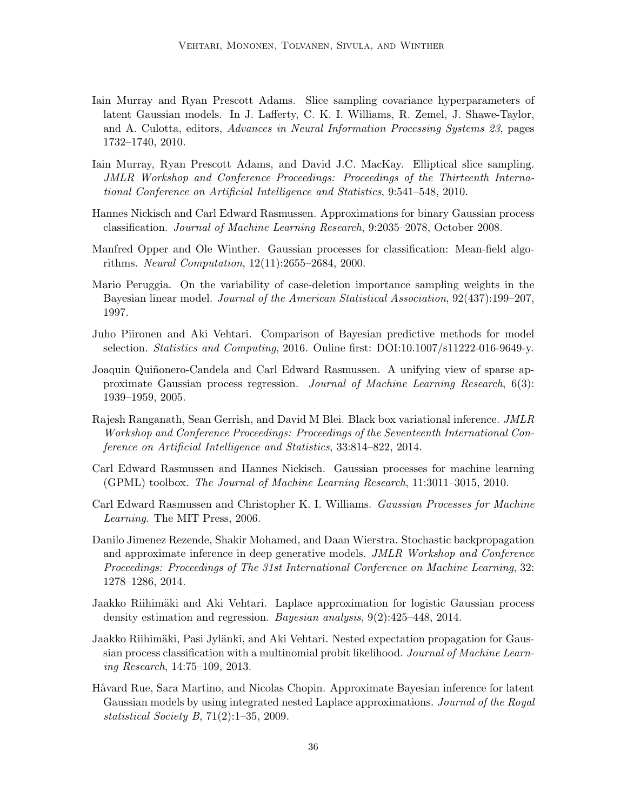- <span id="page-36-10"></span>Iain Murray and Ryan Prescott Adams. Slice sampling covariance hyperparameters of latent Gaussian models. In J. Lafferty, C. K. I. Williams, R. Zemel, J. Shawe-Taylor, and A. Culotta, editors, Advances in Neural Information Processing Systems 23, pages 1732–1740, 2010.
- <span id="page-36-9"></span>Iain Murray, Ryan Prescott Adams, and David J.C. MacKay. Elliptical slice sampling. JMLR Workshop and Conference Proceedings: Proceedings of the Thirteenth International Conference on Artificial Intelligence and Statistics, 9:541–548, 2010.
- <span id="page-36-0"></span>Hannes Nickisch and Carl Edward Rasmussen. Approximations for binary Gaussian process classification. Journal of Machine Learning Research, 9:2035–2078, October 2008.
- <span id="page-36-7"></span>Manfred Opper and Ole Winther. Gaussian processes for classification: Mean-field algorithms. Neural Computation, 12(11):2655–2684, 2000.
- <span id="page-36-8"></span>Mario Peruggia. On the variability of case-deletion importance sampling weights in the Bayesian linear model. Journal of the American Statistical Association, 92(437):199–207, 1997.
- <span id="page-36-11"></span>Juho Piironen and Aki Vehtari. Comparison of Bayesian predictive methods for model selection. Statistics and Computing, 2016. Online first: DOI:10.1007/s11222-016-9649-y.
- <span id="page-36-12"></span>Joaquin Quiñonero-Candela and Carl Edward Rasmussen. A unifying view of sparse approximate Gaussian process regression. Journal of Machine Learning Research, 6(3): 1939–1959, 2005.
- <span id="page-36-2"></span>Rajesh Ranganath, Sean Gerrish, and David M Blei. Black box variational inference. JMLR Workshop and Conference Proceedings: Proceedings of the Seventeenth International Conference on Artificial Intelligence and Statistics, 33:814–822, 2014.
- <span id="page-36-13"></span>Carl Edward Rasmussen and Hannes Nickisch. Gaussian processes for machine learning (GPML) toolbox. The Journal of Machine Learning Research, 11:3011–3015, 2010.
- <span id="page-36-4"></span>Carl Edward Rasmussen and Christopher K. I. Williams. Gaussian Processes for Machine Learning. The MIT Press, 2006.
- <span id="page-36-3"></span>Danilo Jimenez Rezende, Shakir Mohamed, and Daan Wierstra. Stochastic backpropagation and approximate inference in deep generative models. JMLR Workshop and Conference Proceedings: Proceedings of The 31st International Conference on Machine Learning, 32: 1278–1286, 2014.
- <span id="page-36-6"></span>Jaakko Riihimäki and Aki Vehtari. Laplace approximation for logistic Gaussian process density estimation and regression. Bayesian analysis, 9(2):425–448, 2014.
- <span id="page-36-1"></span>Jaakko Riihimäki, Pasi Jylänki, and Aki Vehtari. Nested expectation propagation for Gaussian process classification with a multinomial probit likelihood. Journal of Machine Learning Research, 14:75–109, 2013.
- <span id="page-36-5"></span>Håvard Rue, Sara Martino, and Nicolas Chopin. Approximate Bayesian inference for latent Gaussian models by using integrated nested Laplace approximations. Journal of the Royal statistical Society B, 71(2):1–35, 2009.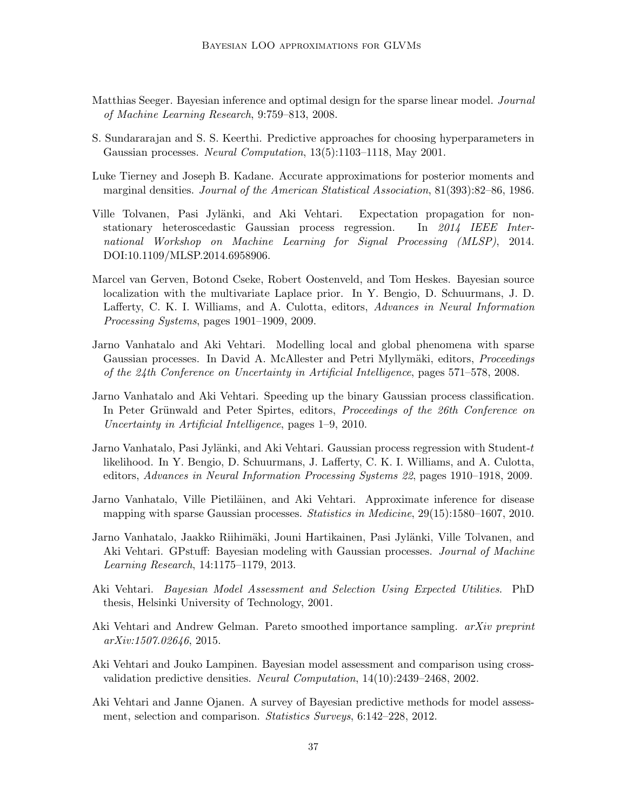- <span id="page-37-3"></span>Matthias Seeger. Bayesian inference and optimal design for the sparse linear model. *Journal* of Machine Learning Research, 9:759–813, 2008.
- <span id="page-37-7"></span>S. Sundararajan and S. S. Keerthi. Predictive approaches for choosing hyperparameters in Gaussian processes. Neural Computation, 13(5):1103–1118, May 2001.
- <span id="page-37-6"></span>Luke Tierney and Joseph B. Kadane. Accurate approximations for posterior moments and marginal densities. Journal of the American Statistical Association, 81(393):82–86, 1986.
- <span id="page-37-2"></span>Ville Tolvanen, Pasi Jylänki, and Aki Vehtari. Expectation propagation for nonstationary heteroscedastic Gaussian process regression. In 2014 IEEE International Workshop on Machine Learning for Signal Processing (MLSP), 2014. DOI:10.1109/MLSP.2014.6958906.
- <span id="page-37-13"></span>Marcel van Gerven, Botond Cseke, Robert Oostenveld, and Tom Heskes. Bayesian source localization with the multivariate Laplace prior. In Y. Bengio, D. Schuurmans, J. D. Lafferty, C. K. I. Williams, and A. Culotta, editors, Advances in Neural Information Processing Systems, pages 1901–1909, 2009.
- <span id="page-37-12"></span>Jarno Vanhatalo and Aki Vehtari. Modelling local and global phenomena with sparse Gaussian processes. In David A. McAllester and Petri Myllymäki, editors, *Proceedings* of the 24th Conference on Uncertainty in Artificial Intelligence, pages 571–578, 2008.
- <span id="page-37-1"></span>Jarno Vanhatalo and Aki Vehtari. Speeding up the binary Gaussian process classification. In Peter Grünwald and Peter Spirtes, editors, Proceedings of the 26th Conference on Uncertainty in Artificial Intelligence, pages 1–9, 2010.
- <span id="page-37-11"></span>Jarno Vanhatalo, Pasi Jylänki, and Aki Vehtari. Gaussian process regression with Student-t likelihood. In Y. Bengio, D. Schuurmans, J. Lafferty, C. K. I. Williams, and A. Culotta, editors, Advances in Neural Information Processing Systems 22, pages 1910–1918, 2009.
- <span id="page-37-4"></span>Jarno Vanhatalo, Ville Pietiläinen, and Aki Vehtari. Approximate inference for disease mapping with sparse Gaussian processes. Statistics in Medicine, 29(15):1580–1607, 2010.
- <span id="page-37-5"></span>Jarno Vanhatalo, Jaakko Riihimäki, Jouni Hartikainen, Pasi Jylänki, Ville Tolvanen, and Aki Vehtari. GPstuff: Bayesian modeling with Gaussian processes. Journal of Machine Learning Research, 14:1175–1179, 2013.
- <span id="page-37-8"></span>Aki Vehtari. Bayesian Model Assessment and Selection Using Expected Utilities. PhD thesis, Helsinki University of Technology, 2001.
- <span id="page-37-10"></span>Aki Vehtari and Andrew Gelman. Pareto smoothed importance sampling. arXiv preprint arXiv:1507.02646, 2015.
- <span id="page-37-9"></span>Aki Vehtari and Jouko Lampinen. Bayesian model assessment and comparison using crossvalidation predictive densities. Neural Computation, 14(10):2439–2468, 2002.
- <span id="page-37-0"></span>Aki Vehtari and Janne Ojanen. A survey of Bayesian predictive methods for model assessment, selection and comparison. Statistics Surveys, 6:142–228, 2012.